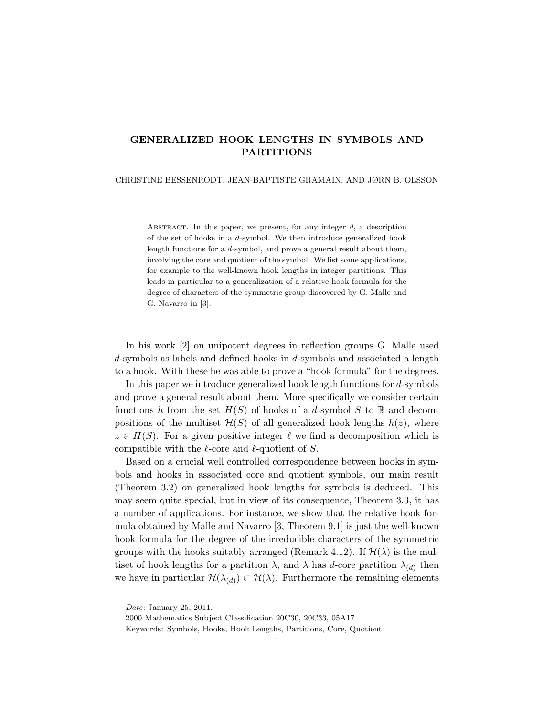# GENERALIZED HOOK LENGTHS IN SYMBOLS AND PARTITIONS

## CHRISTINE BESSENRODT, JEAN-BAPTISTE GRAMAIN, AND JØRN B. OLSSON

ABSTRACT. In this paper, we present, for any integer  $d$ , a description of the set of hooks in a d-symbol. We then introduce generalized hook length functions for a d-symbol, and prove a general result about them, involving the core and quotient of the symbol. We list some applications, for example to the well-known hook lengths in integer partitions. This leads in particular to a generalization of a relative hook formula for the degree of characters of the symmetric group discovered by G. Malle and G. Navarro in [3].

In his work [2] on unipotent degrees in reflection groups G. Malle used d-symbols as labels and defined hooks in d-symbols and associated a length to a hook. With these he was able to prove a "hook formula" for the degrees.

In this paper we introduce generalized hook length functions for d-symbols and prove a general result about them. More specifically we consider certain functions h from the set  $H(S)$  of hooks of a d-symbol S to R and decompositions of the multiset  $\mathcal{H}(S)$  of all generalized hook lengths  $h(z)$ , where  $z \in H(S)$ . For a given positive integer  $\ell$  we find a decomposition which is compatible with the  $\ell$ -core and  $\ell$ -quotient of S.

Based on a crucial well controlled correspondence between hooks in symbols and hooks in associated core and quotient symbols, our main result (Theorem 3.2) on generalized hook lengths for symbols is deduced. This may seem quite special, but in view of its consequence, Theorem 3.3, it has a number of applications. For instance, we show that the relative hook formula obtained by Malle and Navarro [3, Theorem 9.1] is just the well-known hook formula for the degree of the irreducible characters of the symmetric groups with the hooks suitably arranged (Remark 4.12). If  $\mathcal{H}(\lambda)$  is the multiset of hook lengths for a partition  $\lambda$ , and  $\lambda$  has d-core partition  $\lambda_{(d)}$  then we have in particular  $\mathcal{H}(\lambda_{(d)}) \subset \mathcal{H}(\lambda)$ . Furthermore the remaining elements

Date: January 25, 2011.

<sup>2000</sup> Mathematics Subject Classification 20C30, 20C33, 05A17

Keywords: Symbols, Hooks, Hook Lengths, Partitions, Core, Quotient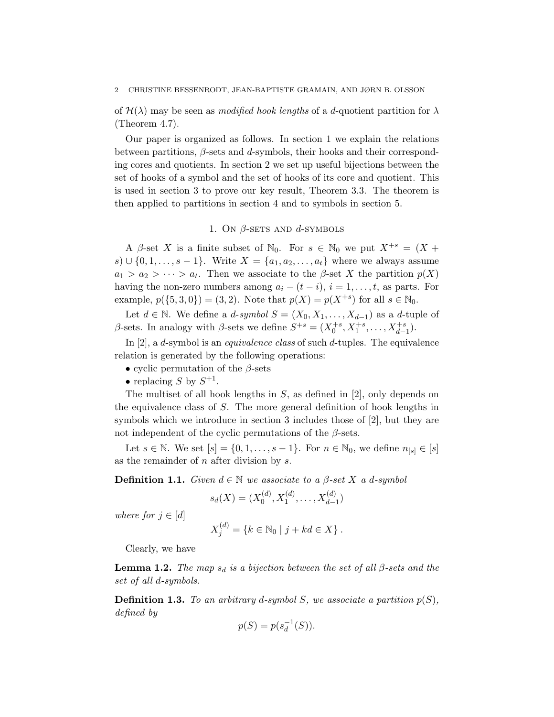#### 2 CHRISTINE BESSENRODT, JEAN-BAPTISTE GRAMAIN, AND JØRN B. OLSSON

of  $\mathcal{H}(\lambda)$  may be seen as *modified hook lengths* of a *d*-quotient partition for  $\lambda$ (Theorem 4.7).

Our paper is organized as follows. In section 1 we explain the relations between partitions,  $\beta$ -sets and d-symbols, their hooks and their corresponding cores and quotients. In section 2 we set up useful bijections between the set of hooks of a symbol and the set of hooks of its core and quotient. This is used in section 3 to prove our key result, Theorem 3.3. The theorem is then applied to partitions in section 4 and to symbols in section 5.

## 1. ON  $\beta$ -SETS AND  $d$ -SYMBOLS

A  $\beta$ -set X is a finite subset of  $\mathbb{N}_0$ . For  $s \in \mathbb{N}_0$  we put  $X^{+s} = (X +$ s) ∪ {0, 1, ..., s – 1}. Write  $X = \{a_1, a_2, \ldots, a_t\}$  where we always assume  $a_1 > a_2 > \cdots > a_t$ . Then we associate to the  $\beta$ -set X the partition  $p(X)$ having the non-zero numbers among  $a_i - (t - i)$ ,  $i = 1, ..., t$ , as parts. For example,  $p({5, 3, 0}) = (3, 2)$ . Note that  $p(X) = p(X^{+s})$  for all  $s \in \mathbb{N}_0$ .

Let  $d \in \mathbb{N}$ . We define a  $d$ -symbol  $S = (X_0, X_1, \ldots, X_{d-1})$  as a  $d$ -tuple of β-sets. In analogy with β-sets we define  $S^{+s} = (X_0^{+s}, X_1^{+s}, \ldots, X_{d-1}^{+s}).$ 

In [2], a *d*-symbol is an *equivalence class* of such *d*-tuples. The equivalence relation is generated by the following operations:

- cyclic permutation of the  $\beta$ -sets
- replacing S by  $S^{+1}$ .

The multiset of all hook lengths in  $S$ , as defined in [2], only depends on the equivalence class of S. The more general definition of hook lengths in symbols which we introduce in section 3 includes those of [2], but they are not independent of the cyclic permutations of the  $\beta$ -sets.

Let  $s \in \mathbb{N}$ . We set  $[s] = \{0, 1, \ldots, s - 1\}$ . For  $n \in \mathbb{N}_0$ , we define  $n_{[s]} \in [s]$ as the remainder of  $n$  after division by  $s$ .

**Definition 1.1.** Given  $d \in \mathbb{N}$  we associate to a  $\beta$ -set X a d-symbol

$$
s_d(X) = (X_0^{(d)}, X_1^{(d)}, \dots, X_{d-1}^{(d)})
$$

where for  $j \in [d]$ 

$$
X_j^{(d)} = \{ k \in \mathbb{N}_0 \mid j + kd \in X \} .
$$

Clearly, we have

**Lemma 1.2.** The map  $s_d$  is a bijection between the set of all  $\beta$ -sets and the set of all d-symbols.

**Definition 1.3.** To an arbitrary d-symbol S, we associate a partition  $p(S)$ , defined by

$$
p(S) = p(s_d^{-1}(S)).
$$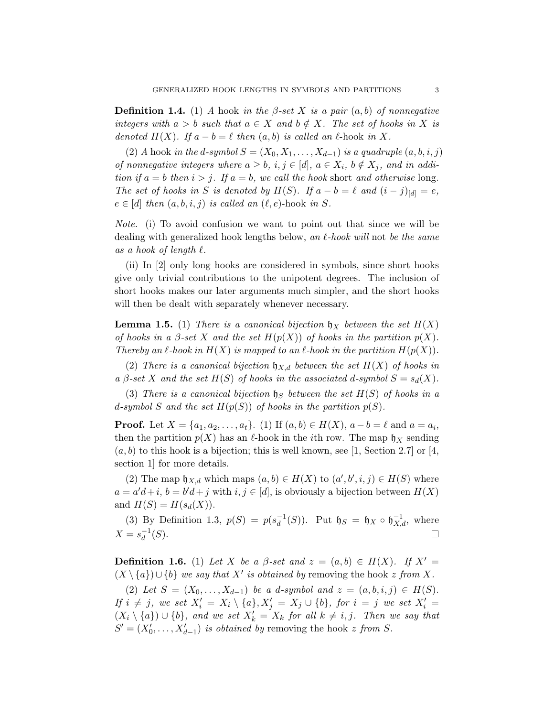**Definition 1.4.** (1) A hook in the  $\beta$ -set X is a pair  $(a, b)$  of nonnegative integers with  $a > b$  such that  $a \in X$  and  $b \notin X$ . The set of hooks in X is denoted  $H(X)$ . If  $a - b = \ell$  then  $(a, b)$  is called an  $\ell$ -hook in X.

(2) A hook in the d-symbol  $S = (X_0, X_1, \ldots, X_{d-1})$  is a quadruple  $(a, b, i, j)$ of nonnegative integers where  $a \geq b$ ,  $i, j \in [d]$ ,  $a \in X_i$ ,  $b \notin X_j$ , and in addition if  $a = b$  then  $i > j$ . If  $a = b$ , we call the hook short and otherwise long. The set of hooks in S is denoted by  $H(S)$ . If  $a - b = \ell$  and  $(i - j)_{[d]} = e$ ,  $e \in [d]$  then  $(a, b, i, j)$  is called an  $(\ell, e)$ -hook in S.

Note. (i) To avoid confusion we want to point out that since we will be dealing with generalized hook lengths below, an  $\ell$ -hook will not be the same as a hook of length  $\ell$ .

(ii) In [2] only long hooks are considered in symbols, since short hooks give only trivial contributions to the unipotent degrees. The inclusion of short hooks makes our later arguments much simpler, and the short hooks will then be dealt with separately whenever necessary.

**Lemma 1.5.** (1) There is a canonical bijection  $\mathfrak{h}_X$  between the set  $H(X)$ of hooks in a  $\beta$ -set X and the set  $H(p(X))$  of hooks in the partition  $p(X)$ . Thereby an  $\ell$ -hook in  $H(X)$  is mapped to an  $\ell$ -hook in the partition  $H(p(X))$ .

(2) There is a canonical bijection  $\mathfrak{h}_{X,d}$  between the set  $H(X)$  of hooks in a  $\beta$ -set X and the set  $H(S)$  of hooks in the associated d-symbol  $S = s_d(X)$ .

(3) There is a canonical bijection  $\natural_S$  between the set  $H(S)$  of hooks in a d-symbol S and the set  $H(p(S))$  of hooks in the partition  $p(S)$ .

**Proof.** Let  $X = \{a_1, a_2, \ldots, a_t\}$ . (1) If  $(a, b) \in H(X)$ ,  $a - b = \ell$  and  $a = a_i$ , then the partition  $p(X)$  has an  $\ell$ -hook in the *i*th row. The map  $\mathfrak{h}_X$  sending  $(a, b)$  to this hook is a bijection; this is well known, see [1, Section 2.7] or [4, section 1] for more details.

(2) The map  $\mathfrak{h}_{X,d}$  which maps  $(a,b) \in H(X)$  to  $(a',b',i,j) \in H(S)$  where  $a = a'd + i$ ,  $b = b'd + j$  with  $i, j \in [d]$ , is obviously a bijection between  $H(X)$ and  $H(S) = H(s_d(X)).$ 

(3) By Definition 1.3,  $p(S) = p(s_d^{-1})$  $_d^{-1}(S)$ ). Put  $\mathfrak{h}_S = \mathfrak{h}_X \circ \mathfrak{h}_{X,d}^{-1}$ , where  $X = s_d^{-1}$ d  $(S)$ .

**Definition 1.6.** (1) Let X be a  $\beta$ -set and  $z = (a, b) \in H(X)$ . If  $X' =$  $(X \setminus \{a\}) \cup \{b\}$  we say that X' is obtained by removing the hook z from X.

(2) Let  $S = (X_0, \ldots, X_{d-1})$  be a d-symbol and  $z = (a, b, i, j) \in H(S)$ . If  $i \neq j$ , we set  $X'_i = X_i \setminus \{a\}, X'_j = X_j \cup \{b\}$ , for  $i = j$  we set  $X'_i =$  $(X_i \setminus \{a\}) \cup \{b\}$ , and we set  $X'_k = X_k$  for all  $k \neq i, j$ . Then we say that  $S' = (X'_0, \ldots, X'_{d-1})$  is obtained by removing the hook z from S.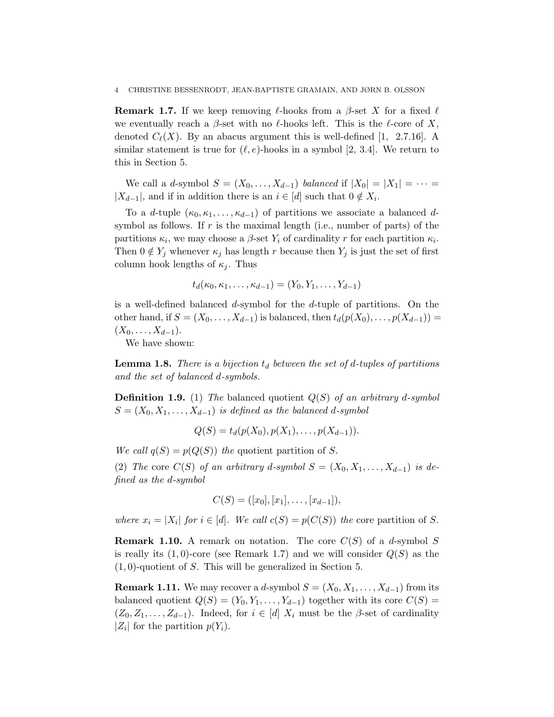**Remark 1.7.** If we keep removing  $\ell$ -hooks from a  $\beta$ -set X for a fixed  $\ell$ we eventually reach a  $\beta$ -set with no  $\ell$ -hooks left. This is the  $\ell$ -core of X, denoted  $C_{\ell}(X)$ . By an abacus argument this is well-defined [1, 2.7.16]. A similar statement is true for  $(\ell, e)$ -hooks in a symbol [2, 3.4]. We return to this in Section 5.

We call a d-symbol  $S = (X_0, \ldots, X_{d-1})$  balanced if  $|X_0| = |X_1| = \cdots$  $|X_{d-1}|$ , and if in addition there is an  $i \in [d]$  such that  $0 \notin X_i$ .

To a d-tuple  $(\kappa_0, \kappa_1, \ldots, \kappa_{d-1})$  of partitions we associate a balanced dsymbol as follows. If  $r$  is the maximal length (i.e., number of parts) of the partitions  $\kappa_i$ , we may choose a  $\beta$ -set  $Y_i$  of cardinality r for each partition  $\kappa_i$ . Then  $0 \notin Y_j$  whenever  $\kappa_j$  has length r because then  $Y_j$  is just the set of first column hook lengths of  $\kappa_i$ . Thus

$$
t_d(\kappa_0, \kappa_1, \ldots, \kappa_{d-1}) = (Y_0, Y_1, \ldots, Y_{d-1})
$$

is a well-defined balanced d-symbol for the d-tuple of partitions. On the other hand, if  $S = (X_0, \ldots, X_{d-1})$  is balanced, then  $t_d(p(X_0), \ldots, p(X_{d-1})) =$  $(X_0, \ldots, X_{d-1}).$ 

We have shown:

**Lemma 1.8.** There is a bijection  $t_d$  between the set of d-tuples of partitions and the set of balanced d-symbols.

**Definition 1.9.** (1) The balanced quotient  $Q(S)$  of an arbitrary d-symbol  $S = (X_0, X_1, \ldots, X_{d-1})$  is defined as the balanced d-symbol

 $Q(S) = t_d(p(X_0), p(X_1), \ldots, p(X_{d-1})).$ 

We call  $q(S) = p(Q(S))$  the quotient partition of S.

(2) The core  $C(S)$  of an arbitrary d-symbol  $S = (X_0, X_1, \ldots, X_{d-1})$  is defined as the d-symbol

$$
C(S) = ([x_0], [x_1], \ldots, [x_{d-1}]),
$$

where  $x_i = |X_i|$  for  $i \in [d]$ . We call  $c(S) = p(C(S))$  the core partition of S.

**Remark 1.10.** A remark on notation. The core  $C(S)$  of a d-symbol S is really its  $(1, 0)$ -core (see Remark 1.7) and we will consider  $Q(S)$  as the  $(1, 0)$ -quotient of S. This will be generalized in Section 5.

**Remark 1.11.** We may recover a d-symbol  $S = (X_0, X_1, \ldots, X_{d-1})$  from its balanced quotient  $Q(S) = (Y_0, Y_1, \ldots, Y_{d-1})$  together with its core  $C(S)$  $(Z_0, Z_1, \ldots, Z_{d-1})$ . Indeed, for  $i \in [d]$   $X_i$  must be the  $\beta$ -set of cardinality  $|Z_i|$  for the partition  $p(Y_i)$ .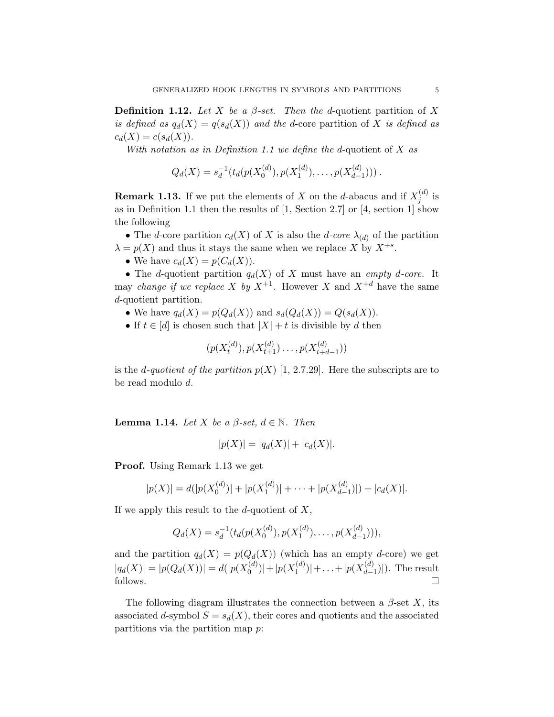**Definition 1.12.** Let X be a  $\beta$ -set. Then the d-quotient partition of X is defined as  $q_d(X) = q(s_d(X))$  and the d-core partition of X is defined as  $c_d(X) = c(s_d(X)).$ 

With notation as in Definition 1.1 we define the d-quotient of  $X$  as

$$
Q_d(X) = s_d^{-1}(t_d(p(X_0^{(d)}), p(X_1^{(d)}), \ldots, p(X_{d-1}^{(d)})))\ .
$$

**Remark 1.13.** If we put the elements of X on the d-abacus and if  $X_i^{(d)}$  $j^{(a)}$  is as in Definition 1.1 then the results of [1, Section 2.7] or [4, section 1] show the following

• The d-core partition  $c_d(X)$  of X is also the d-core  $\lambda_{(d)}$  of the partition  $\lambda = p(X)$  and thus it stays the same when we replace X by  $X^{+s}$ .

• We have  $c_d(X) = p(C_d(X))$ .

• The d-quotient partition  $q_d(X)$  of X must have an *empty d-core*. It may *change if we replace* X by  $X^{+1}$ . However X and  $X^{+d}$  have the same d-quotient partition.

- We have  $q_d(X) = p(Q_d(X))$  and  $s_d(Q_d(X)) = Q(s_d(X)).$
- If  $t \in [d]$  is chosen such that  $|X| + t$  is divisible by d then

$$
(p(X_t^{(d)}), p(X_{t+1}^{(d)}) \ldots, p(X_{t+d-1}^{(d)}))
$$

is the d-quotient of the partition  $p(X)$  [1, 2.7.29]. Here the subscripts are to be read modulo d.

**Lemma 1.14.** Let X be a  $\beta$ -set,  $d \in \mathbb{N}$ . Then

$$
|p(X)| = |q_d(X)| + |c_d(X)|.
$$

Proof. Using Remark 1.13 we get

$$
|p(X)| = d(|p(X_0^{(d)})| + |p(X_1^{(d)})| + \cdots + |p(X_{d-1}^{(d)})| + |c_d(X)|.
$$

If we apply this result to the d-quotient of  $X$ ,

$$
Q_d(X) = s_d^{-1}(t_d(p(X_0^{(d)}), p(X_1^{(d)}), \dots, p(X_{d-1}^{(d)}))),
$$

and the partition  $q_d(X) = p(Q_d(X))$  (which has an empty d-core) we get  $|q_d(X)| = |p(Q_d(X))| = d(|p(X_0^{(d)})|)$  $|p(X_1^{(d)})|+|p(X_1^{(d)})|$  $|1^{(d)}|$  + ... +  $|p(X_{d-1}^{(d)})|$  $\binom{a}{d-1}$ ). The result follows.  $\Box$ 

The following diagram illustrates the connection between a  $\beta$ -set X, its associated d-symbol  $S = s_d(X)$ , their cores and quotients and the associated partitions via the partition map p: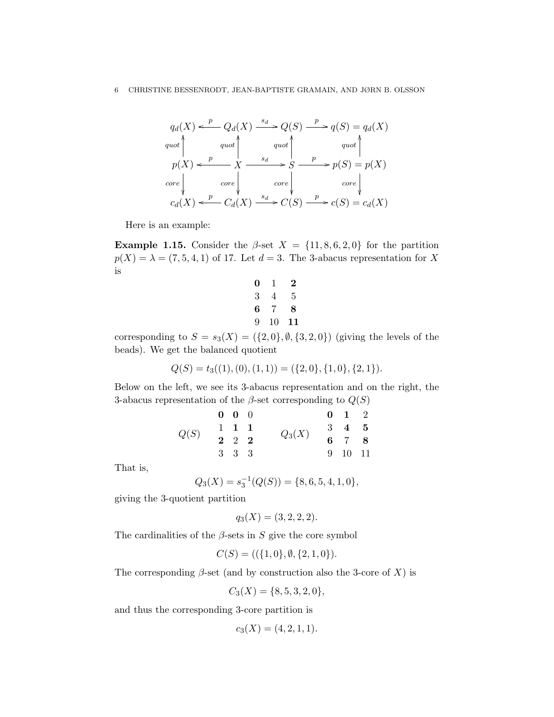$$
q_d(X) \xleftarrow{p} Q_d(X) \xrightarrow{s_d} Q(S) \xrightarrow{p} q(S) = q_d(X)
$$
  
\n
$$
q_{uot} \uparrow \qquad q_{uot} \uparrow \qquad q_{uot} \uparrow \qquad q_{uot} \uparrow
$$
  
\n
$$
p(X) \xleftarrow{p} X \xrightarrow{s_d} S \xrightarrow{p} p(S) = p(X)
$$
  
\n
$$
core \downarrow \qquad core \downarrow \qquad core \downarrow \qquad core \downarrow
$$
  
\n
$$
c_d(X) \xleftarrow{p} C_d(X) \xrightarrow{s_d} C(S) \xrightarrow{p} c(S) = c_d(X)
$$

Here is an example:

**Example 1.15.** Consider the  $\beta$ -set  $X = \{11, 8, 6, 2, 0\}$  for the partition  $p(X) = \lambda = (7, 5, 4, 1)$  of 17. Let  $d = 3$ . The 3-abacus representation for X is

| 0 | T  | 2  |
|---|----|----|
| 3 | 4  | 5  |
| 6 | 7  | 8  |
| 9 | 10 | 11 |

corresponding to  $S = s_3(X) = (\{2,0\}, \emptyset, \{3,2,0\})$  (giving the levels of the beads). We get the balanced quotient

$$
Q(S) = t_3((1), (0), (1, 1)) = (\{2, 0\}, \{1, 0\}, \{2, 1\}).
$$

Below on the left, we see its 3-abacus representation and on the right, the 3-abacus representation of the  $\beta$ -set corresponding to  $Q(S)$ 

| Q(S) | $0 \quad 0 \quad 0$ |  |          | $0 \quad 1 \quad 2$ |  |
|------|---------------------|--|----------|---------------------|--|
|      | $1 \t1 \t1$         |  | $Q_3(X)$ | $3\quad 4\quad 5$   |  |
|      | $2\quad 2\quad 2$   |  |          | $6\quad 7\quad 8$   |  |
|      | 3 3 3               |  |          | 9 10 11             |  |

That is,

$$
Q_3(X) = s_3^{-1}(Q(S)) = \{8, 6, 5, 4, 1, 0\},\
$$

giving the 3-quotient partition

$$
q_3(X) = (3, 2, 2, 2).
$$

The cardinalities of the  $\beta$ -sets in S give the core symbol

$$
C(S) = ((\{1,0\}, \emptyset, \{2,1,0\}).
$$

The corresponding  $\beta$ -set (and by construction also the 3-core of X) is

$$
C_3(X) = \{8, 5, 3, 2, 0\},\
$$

and thus the corresponding 3-core partition is

$$
c_3(X) = (4, 2, 1, 1).
$$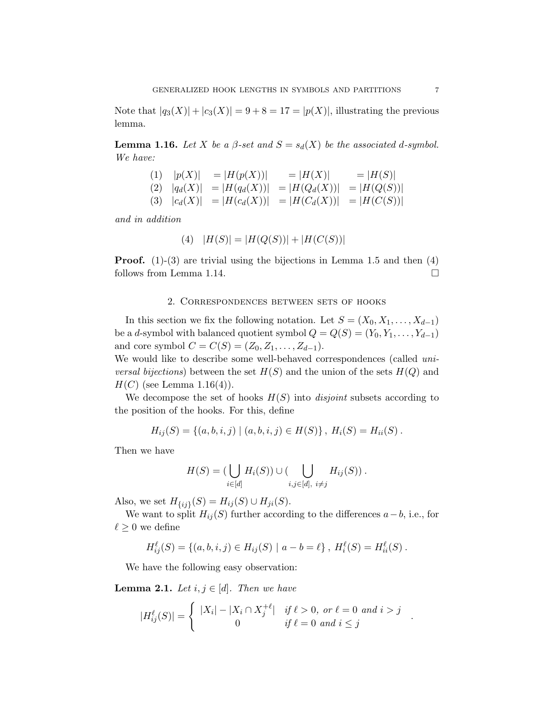Note that  $|q_3(X)| + |c_3(X)| = 9 + 8 = 17 = |p(X)|$ , illustrating the previous lemma.

**Lemma 1.16.** Let X be a  $\beta$ -set and  $S = s_d(X)$  be the associated d-symbol. We have:

(1) 
$$
|p(X)| = |H(p(X))| = |H(X)| = |H(S)|
$$
  
\n(2)  $|q_d(X)| = |H(q_d(X))| = |H(Q_d(X))| = |H(Q(S))|$   
\n(3)  $|c_d(X)| = |H(c_d(X))| = |H(C_d(X))| = |H(C(S))|$ 

and in addition

$$
(4) \quad |H(S)| = |H(Q(S))| + |H(C(S))|
$$

**Proof.** (1)-(3) are trivial using the bijections in Lemma 1.5 and then  $(4)$ follows from Lemma 1.14.

## 2. Correspondences between sets of hooks

In this section we fix the following notation. Let  $S = (X_0, X_1, \ldots, X_{d-1})$ be a d-symbol with balanced quotient symbol  $Q = Q(S) = (Y_0, Y_1, \ldots, Y_{d-1})$ and core symbol  $C = C(S) = (Z_0, Z_1, \ldots, Z_{d-1}).$ 

We would like to describe some well-behaved correspondences (called uni*versal bijections*) between the set  $H(S)$  and the union of the sets  $H(Q)$  and  $H(C)$  (see Lemma 1.16(4)).

We decompose the set of hooks  $H(S)$  into *disjoint* subsets according to the position of the hooks. For this, define

$$
H_{ij}(S) = \{(a, b, i, j) | (a, b, i, j) \in H(S)\}, H_i(S) = H_{ii}(S).
$$

Then we have

$$
H(S) = (\bigcup_{i \in [d]} H_i(S)) \cup (\bigcup_{i,j \in [d], i \neq j} H_{ij}(S)).
$$

Also, we set  $H_{\{ij\}}(S) = H_{ij}(S) \cup H_{ji}(S)$ .

We want to split  $H_{ij}(S)$  further according to the differences  $a-b$ , i.e., for  $\ell \geq 0$  we define

$$
H_{ij}^{\ell}(S) = \{(a, b, i, j) \in H_{ij}(S) \mid a - b = \ell\}, H_i^{\ell}(S) = H_{ii}^{\ell}(S).
$$

We have the following easy observation:

**Lemma 2.1.** Let  $i, j \in [d]$ . Then we have

$$
|H_{ij}^{\ell}(S)| = \begin{cases} |X_i| - |X_i \cap X_j^{+\ell}| & \text{if } \ell > 0, \text{ or } \ell = 0 \text{ and } i > j \\ 0 & \text{if } \ell = 0 \text{ and } i \le j \end{cases}.
$$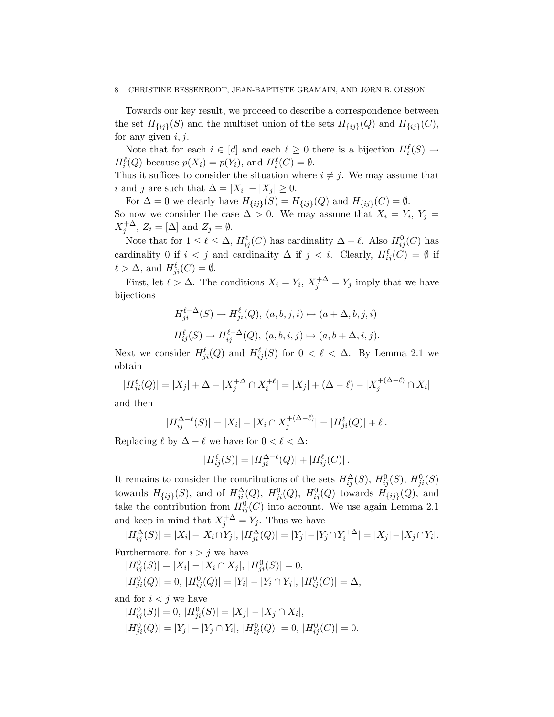#### 8 CHRISTINE BESSENRODT, JEAN-BAPTISTE GRAMAIN, AND JØRN B. OLSSON

Towards our key result, we proceed to describe a correspondence between the set  $H_{\{ij\}}(S)$  and the multiset union of the sets  $H_{\{ij\}}(Q)$  and  $H_{\{ij\}}(C)$ , for any given  $i, j$ .

Note that for each  $i \in [d]$  and each  $\ell \geq 0$  there is a bijection  $H_i^{\ell}(S) \to$  $H_i^{\ell}(Q)$  because  $p(X_i) = p(Y_i)$ , and  $H_i^{\ell}(C) = \emptyset$ .

Thus it suffices to consider the situation where  $i \neq j$ . We may assume that i and j are such that  $\Delta = |X_i| - |X_j| \geq 0$ .

For  $\Delta = 0$  we clearly have  $H_{\{ij\}}(S) = H_{\{ij\}}(Q)$  and  $H_{\{ij\}}(C) = \emptyset$ . So now we consider the case  $\Delta > 0$ . We may assume that  $X_i = Y_i, Y_j =$  $X_j^{+\Delta}$ ,  $Z_i = [\Delta]$  and  $Z_j = \emptyset$ .

Note that for  $1 \leq \ell \leq \Delta$ ,  $H_{ij}^{\ell}(C)$  has cardinality  $\Delta - \ell$ . Also  $H_{ij}^{0}(C)$  has cardinality 0 if  $i < j$  and cardinality  $\Delta$  if  $j < i$ . Clearly,  $H_{ij}^{\ell}(C) = \emptyset$  if  $\ell > \Delta$ , and  $H_{ji}^{\ell}(C) = \emptyset$ .

First, let  $\ell > \Delta$ . The conditions  $X_i = Y_i$ ,  $X_j^{+\Delta} = Y_j$  imply that we have bijections

$$
H_{ji}^{\ell-\Delta}(S) \to H_{ji}^{\ell}(Q), \ (a, b, j, i) \mapsto (a + \Delta, b, j, i)
$$

$$
H_{ij}^{\ell}(S) \to H_{ij}^{\ell-\Delta}(Q), \ (a, b, i, j) \mapsto (a, b + \Delta, i, j).
$$

Next we consider  $H_{ji}^{\ell}(Q)$  and  $H_{ij}^{\ell}(S)$  for  $0 < \ell < \Delta$ . By Lemma 2.1 we obtain

$$
|H_{ji}^{\ell}(Q)| = |X_j| + \Delta - |X_j^{+\Delta} \cap X_i^{+\ell}| = |X_j| + (\Delta - \ell) - |X_j^{+(\Delta - \ell)} \cap X_i|
$$

and then

$$
|H_{ij}^{\Delta-\ell}(S)| = |X_i| - |X_i \cap X_j^{+(\Delta-\ell)}| = |H_{ji}^{\ell}(Q)| + \ell.
$$

Replacing  $\ell$  by  $\Delta - \ell$  we have for  $0 < \ell < \Delta$ :

$$
|H_{ij}^{\ell}(S)| = |H_{ji}^{\Delta-\ell}(Q)| + |H_{ij}^{\ell}(C)|.
$$

It remains to consider the contributions of the sets  $H_{ij}^{\Delta}(S)$ ,  $H_{ij}^{0}(S)$ ,  $H_{ji}^{0}(S)$ towards  $H_{\{ij\}}(S)$ , and of  $H_{ji}^{\Delta}(Q)$ ,  $H_{ji}^{0}(Q)$ ,  $H_{ij}^{0}(Q)$  towards  $H_{\{ij\}}(Q)$ , and take the contribution from  $H_{ij}^0(C)$  into account. We use again Lemma 2.1 and keep in mind that  $X_j^{+\Delta} = Y_j$ . Thus we have

 $|H_{ij}^{\Delta}(S)| = |X_i| - |X_i \cap Y_j|, |H_{ji}^{\Delta}(Q)| = |Y_j| - |Y_j \cap Y_i^{+\Delta}| = |X_j| - |X_j \cap Y_i|.$ Furthermore, for  $i > j$  we have

$$
|H_{ij}^0(S)| = |X_i| - |X_i \cap X_j|, |H_{ji}^0(S)| = 0,
$$
  

$$
|H_{ji}^0(Q)| = 0, |H_{ij}^0(Q)| = |Y_i| - |Y_i \cap Y_j|, |H_{ij}^0(C)| = \Delta,
$$

and for  $i < j$  we have

$$
|H_{ij}^{0}(S)| = 0, |H_{ji}^{0}(S)| = |X_j| - |X_j \cap X_i|,
$$
  

$$
|H_{ji}^{0}(Q)| = |Y_j| - |Y_j \cap Y_i|, |H_{ij}^{0}(Q)| = 0, |H_{ij}^{0}(C)| = 0.
$$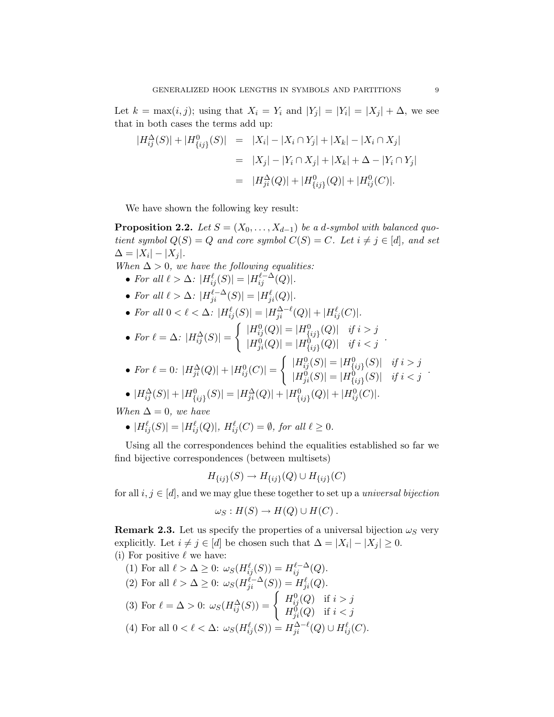Let  $k = \max(i, j)$ ; using that  $X_i = Y_i$  and  $|Y_j| = |Y_i| = |X_j| + \Delta$ , we see that in both cases the terms add up:

$$
|H_{ij}^{\Delta}(S)| + |H_{\{ij\}}^0(S)| = |X_i| - |X_i \cap Y_j| + |X_k| - |X_i \cap X_j|
$$
  
=  $|X_j| - |Y_i \cap X_j| + |X_k| + \Delta - |Y_i \cap Y_j|$   
=  $|H_{ji}^{\Delta}(Q)| + |H_{\{ij\}}^0(Q)| + |H_{ij}^0(C)|.$ 

We have shown the following key result:

**Proposition 2.2.** Let  $S = (X_0, \ldots, X_{d-1})$  be a d-symbol with balanced quotient symbol  $Q(S) = Q$  and core symbol  $C(S) = C$ . Let  $i \neq j \in [d]$ , and set  $\Delta = |X_i| - |X_j|.$ 

- When  $\Delta > 0$ , we have the following equalities:
	- For all  $\ell > \Delta$ :  $|H_{ij}^{\ell}(S)| = |H_{ij}^{\ell-\Delta}(Q)|$ .
	- For all  $\ell > \Delta$ :  $|H_{ji}^{\ell-\Delta}(S)| = |H_{ji}^{\ell}(Q)|$ .
	- For all  $0 < \ell < \Delta$ :  $|H_{ij}^{\ell}(S)| = |H_{ji}^{\Delta-\ell}(Q)| + |H_{ij}^{\ell}(C)|$ .

• For 
$$
\ell = \Delta
$$
:  $|H_{ij}^{\Delta}(S)| = \begin{cases} |H_{ij}^{0}(Q)| = |H_{\{ij\}}^{0}(Q)| & \text{if } i > j \\ |H_{ji}^{0}(Q)| = |H_{\{ij\}}^{0}(Q)| & \text{if } i < j \end{cases}$ .

• For 
$$
\ell = 0
$$
:  $|H_{ji}^{\Delta}(Q)| + |H_{ij}^{0}(C)| = \begin{cases} |H_{ij}^{0}(S)| = |H_{\{ij\}}^{0}(S)| & \text{if } i > j \\ |H_{ji}^{0}(S)| = |H_{\{ij\}}^{0}(S)| & \text{if } i < j \end{cases}$ .

• 
$$
|H_{ij}^{\Delta}(S)| + |H_{\{ij\}}^0(S)| = |H_{ji}^{\Delta}(Q)| + |H_{\{ij\}}^0(Q)| + |H_{ij}^0(C)|.
$$

When  $\Delta = 0$ , we have

• 
$$
|H_{ij}^{\ell}(S)| = |H_{ij}^{\ell}(Q)|
$$
,  $H_{ij}^{\ell}(C) = \emptyset$ , for all  $\ell \ge 0$ .

Using all the correspondences behind the equalities established so far we find bijective correspondences (between multisets)

$$
H_{\{ij\}}(S) \to H_{\{ij\}}(Q) \cup H_{\{ij\}}(C)
$$

for all  $i, j \in [d]$ , and we may glue these together to set up a *universal bijection* 

$$
\omega_S: H(S) \to H(Q) \cup H(C) .
$$

**Remark 2.3.** Let us specify the properties of a universal bijection  $\omega_S$  very explicitly. Let  $i \neq j \in [d]$  be chosen such that  $\Delta = |X_i| - |X_j| \geq 0$ . (i) For positive  $\ell$  we have:

- (1) For all  $\ell > \Delta \geq 0$ :  $\omega_S(H_{ij}^{\ell}(S)) = H_{ij}^{\ell-\Delta}(Q)$ . (2) For all  $\ell > \Delta \geq 0$ :  $\omega_S(H_{ji}^{\ell-\Delta}(S)) = H_{ji}^{\ell}(Q)$ .
- (3) For  $\ell = \Delta > 0$ :  $\omega_S(H_{ij}^{\Delta}(S)) = \begin{cases} H_{ij}^0(Q) & \text{if } i > j \\ H_{ij}^0(Q) & \text{if } i > j \end{cases}$  $H_{ji}^{\tilde{0}}(Q)$  if  $i < j$

(4) For all 
$$
0 < \ell < \Delta
$$
:  $\omega_S(H_{ij}^{\ell}(S)) = H_{ji}^{\Delta-\ell}(Q) \cup H_{ij}^{\ell}(C)$ .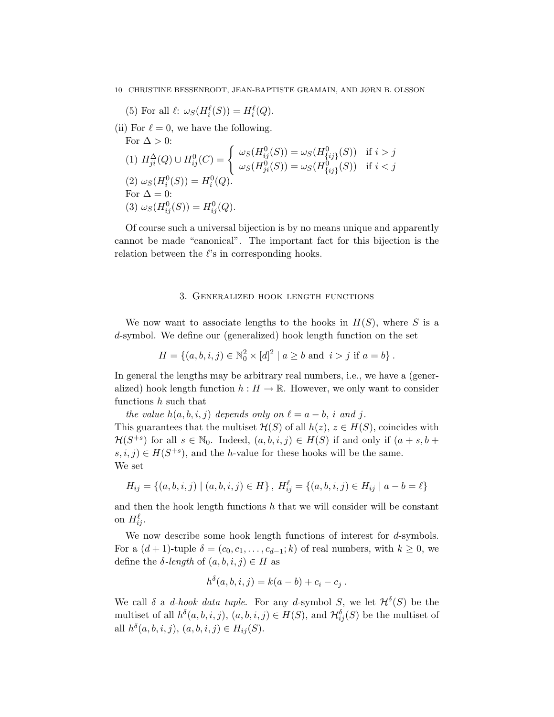(5) For all  $\ell: \omega_S(H_i^{\ell}(S)) = H_i^{\ell}(Q)$ .

(ii) For 
$$
\ell = 0
$$
, we have the following.  
\nFor  $\Delta > 0$ :  
\n(1)  $H_{ji}^{\Delta}(Q) \cup H_{ij}^{0}(C) = \begin{cases} \omega_S(H_{ij}^{0}(S)) = \omega_S(H_{\{ij\}}^{0}(S)) & \text{if } i > j \\ \omega_S(H_{ji}^{0}(S)) = \omega_S(H_{\{ij\}}^{0}(S)) & \text{if } i < j \end{cases}$   
\n(2)  $\omega_S(H_i^{0}(S)) = H_i^{0}(Q)$ .  
\nFor  $\Delta = 0$ :  
\n(3)  $\omega_S(H_{ij}^{0}(S)) = H_{ij}^{0}(Q)$ .

Of course such a universal bijection is by no means unique and apparently cannot be made "canonical". The important fact for this bijection is the relation between the  $\ell$ 's in corresponding hooks.

## 3. Generalized hook length functions

We now want to associate lengths to the hooks in  $H(S)$ , where S is a d-symbol. We define our (generalized) hook length function on the set

$$
H = \{(a, b, i, j) \in \mathbb{N}_0^2 \times [d]^2 \mid a \ge b \text{ and } i > j \text{ if } a = b\}.
$$

In general the lengths may be arbitrary real numbers, i.e., we have a (generalized) hook length function  $h : H \to \mathbb{R}$ . However, we only want to consider functions h such that

the value  $h(a, b, i, j)$  depends only on  $\ell = a - b$ , i and j. This guarantees that the multiset  $\mathcal{H}(S)$  of all  $h(z), z \in H(S)$ , coincides with  $\mathcal{H}(S^{+s})$  for all  $s \in \mathbb{N}_0$ . Indeed,  $(a, b, i, j) \in H(S)$  if and only if  $(a + s, b + j)$  $(s, i, j) \in H(S^{+s})$ , and the *h*-value for these hooks will be the same. We set

$$
H_{ij} = \{(a, b, i, j) | (a, b, i, j) \in H\}, H_{ij}^{\ell} = \{(a, b, i, j) \in H_{ij} | a - b = \ell\}
$$

and then the hook length functions  $h$  that we will consider will be constant on  $H_{ij}^{\ell}$ .

We now describe some hook length functions of interest for d-symbols. For a  $(d+1)$ -tuple  $\delta = (c_0, c_1, \ldots, c_{d-1}; k)$  of real numbers, with  $k \geq 0$ , we define the  $\delta$ -length of  $(a, b, i, j) \in H$  as

$$
h^{\delta}(a, b, i, j) = k(a - b) + c_i - c_j.
$$

We call  $\delta$  a *d-hook data tuple*. For any *d*-symbol S, we let  $\mathcal{H}^{\delta}(S)$  be the multiset of all  $h^{\delta}(a, b, i, j), (a, b, i, j) \in H(S)$ , and  $\mathcal{H}_{ij}^{\delta}(S)$  be the multiset of all  $h^{\delta}(a, b, i, j), (a, b, i, j) \in H_{ij}(S)$ .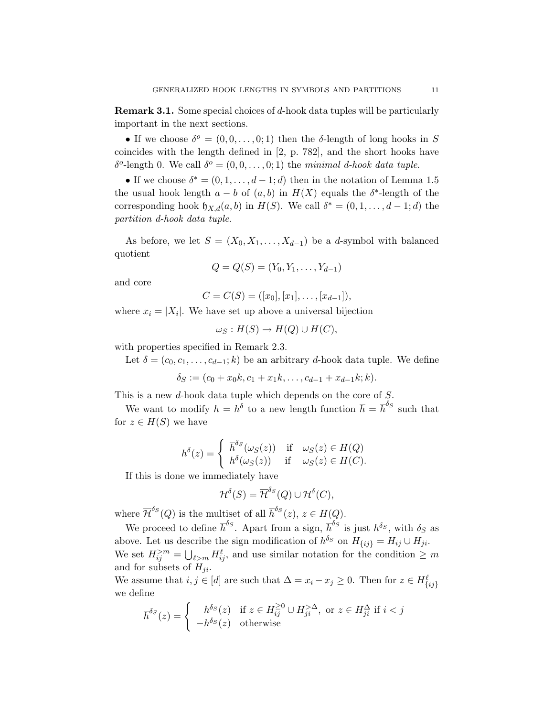Remark 3.1. Some special choices of d-hook data tuples will be particularly important in the next sections.

• If we choose  $\delta^o = (0, 0, \ldots, 0; 1)$  then the  $\delta$ -length of long hooks in S coincides with the length defined in [2, p. 782], and the short hooks have δ<sup>ο</sup>-length 0. We call  $\delta$ <sup>o</sup> = (0, 0, ..., 0; 1) the minimal d-hook data tuple.

• If we choose  $\delta^* = (0, 1, \ldots, d-1; d)$  then in the notation of Lemma 1.5 the usual hook length  $a - b$  of  $(a, b)$  in  $H(X)$  equals the  $\delta^*$ -length of the corresponding hook  $\mathfrak{h}_{X,d}(a, b)$  in  $H(S)$ . We call  $\delta^* = (0, 1, \ldots, d-1; d)$  the partition d-hook data tuple.

As before, we let  $S = (X_0, X_1, \ldots, X_{d-1})$  be a d-symbol with balanced quotient

$$
Q = Q(S) = (Y_0, Y_1, \dots, Y_{d-1})
$$

and core

$$
C = C(S) = ([x_0], [x_1], \ldots, [x_{d-1}]),
$$

where  $x_i = |X_i|$ . We have set up above a universal bijection

$$
\omega_S: H(S) \to H(Q) \cup H(C),
$$

with properties specified in Remark 2.3.

Let  $\delta = (c_0, c_1, \ldots, c_{d-1}; k)$  be an arbitrary d-hook data tuple. We define

$$
\delta_S := (c_0 + x_0 k, c_1 + x_1 k, \dots, c_{d-1} + x_{d-1} k; k).
$$

This is a new d-hook data tuple which depends on the core of S.

We want to modify  $h = h^{\delta}$  to a new length function  $\overline{h} = \overline{h}^{\delta_S}$  such that for  $z \in H(S)$  we have

$$
h^{\delta}(z) = \begin{cases} \overline{h}^{\delta_S}(\omega_S(z)) & \text{if } \omega_S(z) \in H(Q) \\ h^{\delta}(\omega_S(z)) & \text{if } \omega_S(z) \in H(C). \end{cases}
$$

If this is done we immediately have

$$
\mathcal{H}^{\delta}(S) = \overline{\mathcal{H}}^{\delta_S}(Q) \cup \mathcal{H}^{\delta}(C),
$$

where  $\overline{\mathcal{H}}^{\delta_S}(Q)$  is the multiset of all  $\overline{h}^{\delta_S}(z), z \in H(Q)$ .

We proceed to define  $\bar{h}^{\delta_S}$ . Apart from a sign,  $\bar{h}^{\delta_S}$  is just  $h^{\delta_S}$ , with  $\delta_S$  as above. Let us describe the sign modification of  $h^{\delta_S}$  on  $H_{\{ij\}} = H_{ij} \cup H_{ji}$ . We set  $H_{ij}^{>m} = \bigcup_{\ell>m} H_{ij}^{\ell}$ , and use similar notation for the condition  $\geq m$ and for subsets of  $H_{ji}$ .

We assume that  $i, j \in [d]$  are such that  $\Delta = x_i - x_j \geq 0$ . Then for  $z \in H_{\{ij\}}^{\ell}$ we define

$$
\overline{h}^{\delta_S}(z) = \begin{cases}\nh^{\delta_S}(z) & \text{if } z \in H_{ij}^{\geq 0} \cup H_{ji}^{>\Delta}, \text{ or } z \in H_{ji}^{\Delta} \text{ if } i < j \\
-h^{\delta_S}(z) & \text{otherwise}\n\end{cases}
$$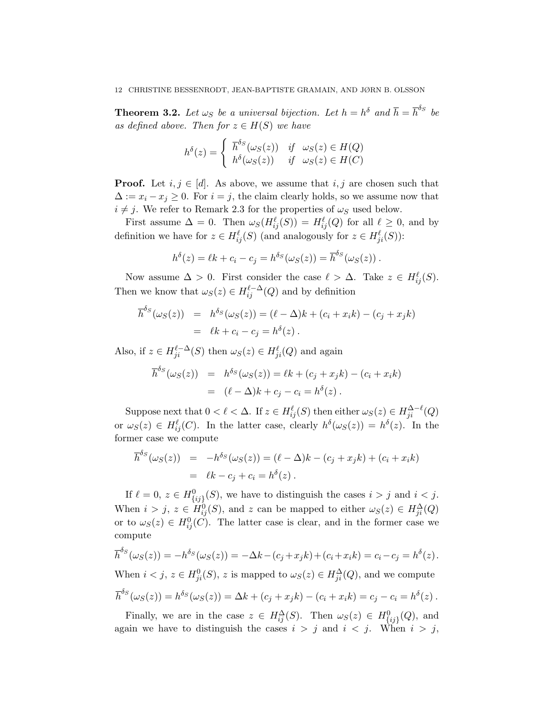**Theorem 3.2.** Let  $\omega_S$  be a universal bijection. Let  $h = h^{\delta}$  and  $\overline{h} = \overline{h}^{\delta_S}$  be as defined above. Then for  $z \in H(S)$  we have

$$
h^{\delta}(z) = \begin{cases} \overline{h}^{\delta_S}(\omega_S(z)) & \text{if} \quad \omega_S(z) \in H(Q) \\ h^{\delta}(\omega_S(z)) & \text{if} \quad \omega_S(z) \in H(C) \end{cases}
$$

**Proof.** Let  $i, j \in [d]$ . As above, we assume that  $i, j$  are chosen such that  $\Delta := x_i - x_j \geq 0$ . For  $i = j$ , the claim clearly holds, so we assume now that  $i \neq j$ . We refer to Remark 2.3 for the properties of  $\omega_S$  used below.

First assume  $\Delta = 0$ . Then  $\omega_S(H_{ij}^{\ell}(S)) = H_{ij}^{\ell}(Q)$  for all  $\ell \geq 0$ , and by definition we have for  $z \in H_{ij}^{\ell}(S)$  (and analogously for  $z \in H_{ji}^{\ell}(S)$ ):

$$
h^{\delta}(z) = \ell k + c_i - c_j = h^{\delta_S}(\omega_S(z)) = \overline{h}^{\delta_S}(\omega_S(z)).
$$

Now assume  $\Delta > 0$ . First consider the case  $\ell > \Delta$ . Take  $z \in H_{ij}^{\ell}(S)$ . Then we know that  $\omega_S(z) \in H_{ij}^{\ell-\Delta}(Q)$  and by definition

$$
\overline{h}^{\delta_S}(\omega_S(z)) = h^{\delta_S}(\omega_S(z)) = (\ell - \Delta)k + (c_i + x_i k) - (c_j + x_j k) \n= \ell k + c_i - c_j = h^{\delta}(z).
$$

Also, if  $z \in H_{ji}^{\ell-\Delta}(S)$  then  $\omega_S(z) \in H_{ji}^{\ell}(Q)$  and again

$$
\overline{h}^{\delta_S}(\omega_S(z)) = h^{\delta_S}(\omega_S(z)) = \ell k + (c_j + x_j k) - (c_i + x_i k)
$$
  
= 
$$
(\ell - \Delta)k + c_j - c_i = h^{\delta}(z).
$$

Suppose next that  $0 < \ell < \Delta$ . If  $z \in H_{ij}^{\ell}(S)$  then either  $\omega_S(z) \in H_{ji}^{\Delta-\ell}(Q)$ or  $\omega_S(z) \in H_{ij}^{\ell}(C)$ . In the latter case, clearly  $h^{\delta}(\omega_S(z)) = h^{\delta}(z)$ . In the former case we compute

$$
\overline{h}^{\delta_S}(\omega_S(z)) = -h^{\delta_S}(\omega_S(z)) = (\ell - \Delta)k - (c_j + x_jk) + (c_i + x_ik)
$$
  
=  $\ell k - c_j + c_i = h^{\delta}(z)$ .

If  $\ell = 0, z \in H^0_{\{ij\}}(S)$ , we have to distinguish the cases  $i > j$  and  $i < j$ . When  $i > j$ ,  $z \in H_{ij}^0(S)$ , and z can be mapped to either  $\omega_S(z) \in H_{ji}^{\Delta}(Q)$ or to  $\omega_{S}(z) \in H_{ij}^{0}(C)$ . The latter case is clear, and in the former case we compute

$$
\overline{h}^{\delta_S}(\omega_S(z)) = -h^{\delta_S}(\omega_S(z)) = -\Delta k - (c_j + x_j k) + (c_i + x_i k) = c_i - c_j = h^{\delta}(z).
$$

When  $i < j$ ,  $z \in H_{ji}^0(S)$ , z is mapped to  $\omega_S(z) \in H_{ji}^{\Delta}(Q)$ , and we compute

$$
\overline{h}^{\delta_S}(\omega_S(z)) = h^{\delta_S}(\omega_S(z)) = \Delta k + (c_j + x_j k) - (c_i + x_i k) = c_j - c_i = h^{\delta}(z).
$$

Finally, we are in the case  $z \in H_{ij}^{\Delta}(S)$ . Then  $\omega_S(z) \in H_{\{ij\}}^0(Q)$ , and again we have to distinguish the cases  $i > j$  and  $i < j$ . When  $i > j$ ,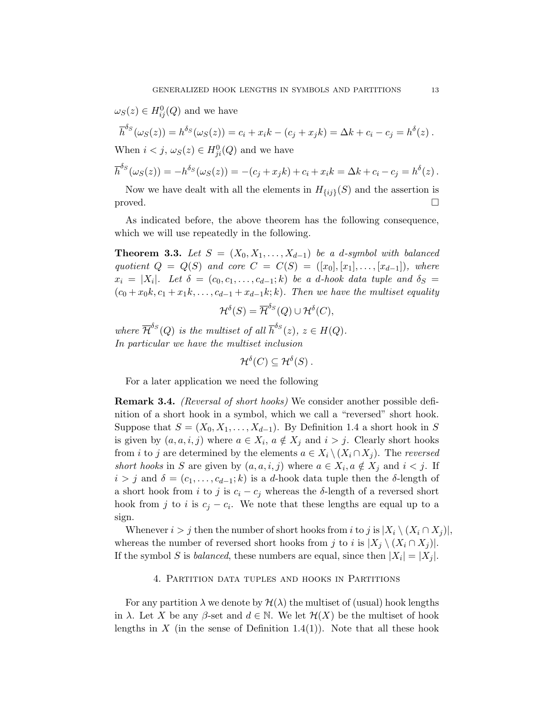$\omega_S(z) \in H^0_{ij}(Q)$  and we have

$$
\overline{h}^{\delta_S}(\omega_S(z)) = h^{\delta_S}(\omega_S(z)) = c_i + x_i k - (c_j + x_j k) = \Delta k + c_i - c_j = h^{\delta}(z).
$$
  
When  $i < j$ ,  $\omega_S(z) \in H^0_{ji}(Q)$  and we have

$$
\overline{h}^{\delta_S}(\omega_S(z)) = -h^{\delta_S}(\omega_S(z)) = -(c_j + x_j k) + c_i + x_i k = \Delta k + c_i - c_j = h^{\delta}(z).
$$

Now we have dealt with all the elements in  $H_{\{ij\}}(S)$  and the assertion is proved.  $\square$ 

As indicated before, the above theorem has the following consequence, which we will use repeatedly in the following.

**Theorem 3.3.** Let  $S = (X_0, X_1, \ldots, X_{d-1})$  be a d-symbol with balanced quotient  $Q = Q(S)$  and core  $C = C(S) = ([x_0], [x_1], \ldots, [x_{d-1}]),$  where  $x_i = |X_i|$ . Let  $\delta = (c_0, c_1, \ldots, c_{d-1}; k)$  be a d-hook data tuple and  $\delta_S =$  $(c_0 + x_0k, c_1 + x_1k, \ldots, c_{d-1} + x_{d-1}k; k)$ . Then we have the multiset equality

$$
\mathcal{H}^{\delta}(S) = \overline{\mathcal{H}}^{\delta_S}(Q) \cup \mathcal{H}^{\delta}(C),
$$

where  $\overline{\mathcal{H}}^{\delta_S}(Q)$  is the multiset of all  $\overline{h}^{\delta_S}(z)$ ,  $z \in H(Q)$ . In particular we have the multiset inclusion

 $\mathcal{H}^\delta(C)\subseteq \mathcal{H}^\delta(S)$  .

For a later application we need the following

Remark 3.4. (Reversal of short hooks) We consider another possible definition of a short hook in a symbol, which we call a "reversed" short hook. Suppose that  $S = (X_0, X_1, \ldots, X_{d-1})$ . By Definition 1.4 a short hook in S is given by  $(a, a, i, j)$  where  $a \in X_i$ ,  $a \notin X_j$  and  $i > j$ . Clearly short hooks from *i* to *j* are determined by the elements  $a \in X_i \setminus (X_i \cap X_j)$ . The *reversed* short hooks in S are given by  $(a, a, i, j)$  where  $a \in X_i$ ,  $a \notin X_j$  and  $i < j$ . If  $i > j$  and  $\delta = (c_1, \ldots, c_{d-1}; k)$  is a d-hook data tuple then the  $\delta$ -length of a short hook from i to j is  $c_i - c_j$  whereas the δ-length of a reversed short hook from j to i is  $c_j - c_i$ . We note that these lengths are equal up to a sign.

Whenever  $i > j$  then the number of short hooks from i to j is  $|X_i \setminus (X_i \cap X_j)|$ , whereas the number of reversed short hooks from j to i is  $|X_j \setminus (X_i \cap X_j)|$ . If the symbol S is *balanced*, these numbers are equal, since then  $|X_i| = |X_j|$ .

## 4. Partition data tuples and hooks in Partitions

For any partition  $\lambda$  we denote by  $\mathcal{H}(\lambda)$  the multiset of (usual) hook lengths in  $\lambda$ . Let X be any  $\beta$ -set and  $d \in \mathbb{N}$ . We let  $\mathcal{H}(X)$  be the multiset of hook lengths in X (in the sense of Definition 1.4(1)). Note that all these hook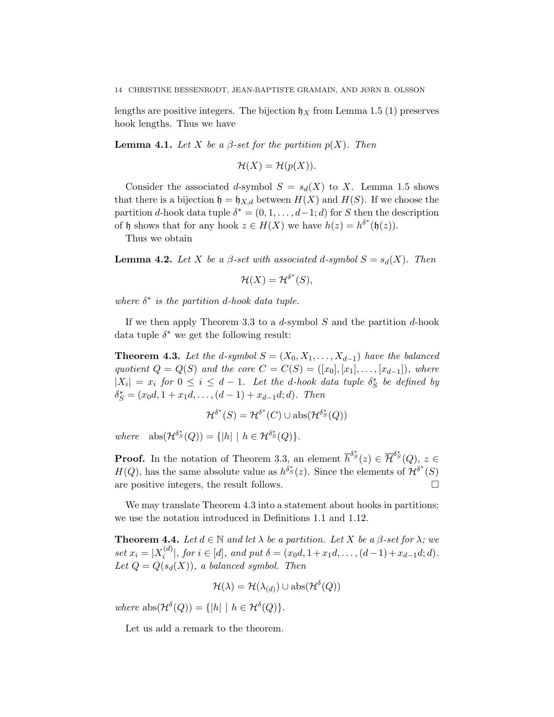lengths are positive integers. The bijection  $\mathfrak{h}_X$  from Lemma 1.5 (1) preserves hook lengths. Thus we have

**Lemma 4.1.** Let X be a  $\beta$ -set for the partition  $p(X)$ . Then

$$
\mathcal{H}(X) = \mathcal{H}(p(X)).
$$

Consider the associated d-symbol  $S = s_d(X)$  to X. Lemma 1.5 shows that there is a bijection  $\mathfrak{h} = \mathfrak{h}_{X,d}$  between  $H(X)$  and  $H(S)$ . If we choose the partition d-hook data tuple  $\delta^* = (0, 1, \ldots, d-1; d)$  for S then the description of h shows that for any hook  $z \in H(X)$  we have  $h(z) = h^{\delta^*}(\mathfrak{h}(z))$ .

Thus we obtain

**Lemma 4.2.** Let X be a  $\beta$ -set with associated d-symbol  $S = s_d(X)$ . Then

$$
\mathcal{H}(X) = \mathcal{H}^{\delta^*}(S),
$$

where  $\delta^*$  is the partition d-hook data tuple.

If we then apply Theorem 3.3 to a  $d$ -symbol  $S$  and the partition  $d$ -hook data tuple  $\delta^*$  we get the following result:

**Theorem 4.3.** Let the d-symbol  $S = (X_0, X_1, \ldots, X_{d-1})$  have the balanced quotient  $Q = Q(S)$  and the core  $C = C(S) = ([x_0], [x_1], \ldots, [x_{d-1}]),$  where  $|X_i| = x_i$  for  $0 \le i \le d-1$ . Let the d-hook data tuple  $\delta_S^*$  be defined by  $\delta_S^* = (x_0d, 1 + x_1d, \ldots, (d-1) + x_{d-1}d; d)$ . Then

$$
\mathcal{H}^{\delta^*}(S) = \mathcal{H}^{\delta^*}(C) \cup \mathrm{abs}(\mathcal{H}^{\delta^*}(Q))
$$

where  $\text{abs}(\mathcal{H}^{\delta_S^*}(Q)) = \{|h| \mid h \in \mathcal{H}^{\delta_S^*}(Q)\}.$ 

**Proof.** In the notation of Theorem 3.3, an element  $\overline{h}^{\delta^*}(z) \in \overline{\mathcal{H}}^{\delta^*}(Q)$ ,  $z \in \overline{\mathcal{H}}^{\delta^*}(Q)$  $H(Q)$ , has the same absolute value as  $h^{\delta^*}(z)$ . Since the elements of  $\mathcal{H}^{\delta^*}(S)$ are positive integers, the result follows.  $\Box$ 

We may translate Theorem 4.3 into a statement about hooks in partitions; we use the notation introduced in Definitions 1.1 and 1.12.

**Theorem 4.4.** Let  $d \in \mathbb{N}$  and let  $\lambda$  be a partition. Let X be a  $\beta$ -set for  $\lambda$ ; we set  $x_i = |X_i^{(d)}|$  $\{S_i^{(a)}|, for i \in [d], and put \delta = (x_0d, 1+x_1d, \ldots, (d-1)+x_{d-1}d; d).$ Let  $Q = Q(s_d(X))$ , a balanced symbol. Then

$$
\mathcal{H}(\lambda) = \mathcal{H}(\lambda_{(d)}) \cup \mathrm{abs}(\mathcal{H}^{\delta}(Q))
$$

where  $\text{abs}(\mathcal{H}^{\delta}(Q)) = \{|h| \mid h \in \mathcal{H}^{\delta}(Q)\}.$ 

Let us add a remark to the theorem.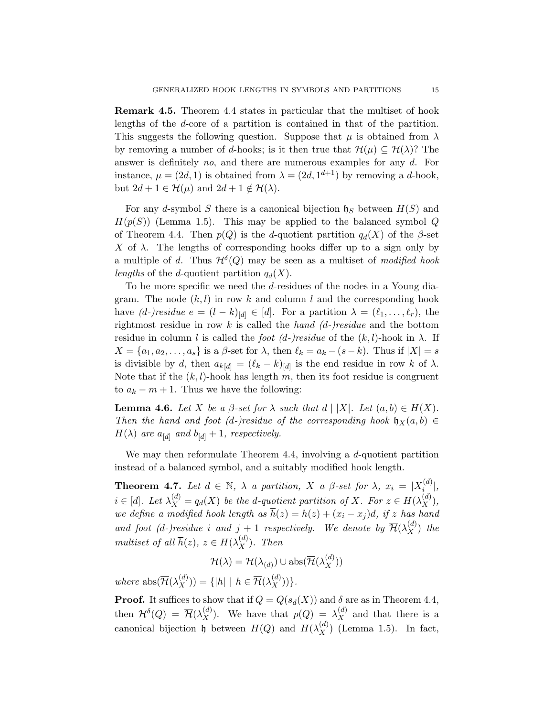Remark 4.5. Theorem 4.4 states in particular that the multiset of hook lengths of the d-core of a partition is contained in that of the partition. This suggests the following question. Suppose that  $\mu$  is obtained from  $\lambda$ by removing a number of d-hooks; is it then true that  $\mathcal{H}(\mu) \subseteq \mathcal{H}(\lambda)$ ? The answer is definitely  $no$ , and there are numerous examples for any  $d$ . For instance,  $\mu = (2d, 1)$  is obtained from  $\lambda = (2d, 1^{d+1})$  by removing a d-hook, but  $2d + 1 \in \mathcal{H}(\mu)$  and  $2d + 1 \notin \mathcal{H}(\lambda)$ .

For any d-symbol S there is a canonical bijection  $\mathfrak{h}_S$  between  $H(S)$  and  $H(p(S))$  (Lemma 1.5). This may be applied to the balanced symbol Q of Theorem 4.4. Then  $p(Q)$  is the d-quotient partition  $q_d(X)$  of the  $\beta$ -set  $X$  of  $\lambda$ . The lengths of corresponding hooks differ up to a sign only by a multiple of d. Thus  $\mathcal{H}^{\delta}(Q)$  may be seen as a multiset of modified hook lengths of the d-quotient partition  $q_d(X)$ .

To be more specific we need the d-residues of the nodes in a Young diagram. The node  $(k, l)$  in row k and column l and the corresponding hook have  $(d-)residue \ e = (l - k)_{[d]} \in [d]$ . For a partition  $\lambda = (\ell_1, \ldots, \ell_r)$ , the rightmost residue in row k is called the hand  $(d-)residue$  and the bottom residue in column l is called the foot (d-)residue of the  $(k, l)$ -hook in  $\lambda$ . If  $X = \{a_1, a_2, \ldots, a_s\}$  is a  $\beta$ -set for  $\lambda$ , then  $\ell_k = a_k - (s - k)$ . Thus if  $|X| = s$ is divisible by d, then  $a_{k[d]} = (\ell_k - k)_{[d]}$  is the end residue in row k of  $\lambda$ . Note that if the  $(k, l)$ -hook has length m, then its foot residue is congruent to  $a_k - m + 1$ . Thus we have the following:

**Lemma 4.6.** Let X be a  $\beta$ -set for  $\lambda$  such that  $d \mid |X|$ . Let  $(a, b) \in H(X)$ . Then the hand and foot (d-)residue of the corresponding hook  $\mathfrak{h}_X(a, b) \in$  $H(\lambda)$  are  $a_{[d]}$  and  $b_{[d]} + 1$ , respectively.

We may then reformulate Theorem 4.4, involving a d-quotient partition instead of a balanced symbol, and a suitably modified hook length.

**Theorem 4.7.** Let  $d \in \mathbb{N}$ ,  $\lambda$  a partition,  $X$  a  $\beta$ -set for  $\lambda$ ,  $x_i = |X_i^{(d)}|$  $\binom{a}{i}$ ,  $i \in [d]$ . Let  $\lambda_X^{(d)} = q_d(X)$  be the d-quotient partition of X. For  $z \in H(\lambda_X^{(d)})$ , we define a modified hook length as  $\overline{h}(z) = h(z) + (x_i - x_j)d$ , if z has hand and foot (d-)residue i and  $j+1$  respectively. We denote by  $\overline{\mathcal{H}}(\lambda_X^{(d)})$  the multiset of all  $\overline{h}(z)$ ,  $z \in H(\lambda_X^{(d)})$ . Then

$$
\mathcal{H}(\lambda) = \mathcal{H}(\lambda_{(d)}) \cup \mathrm{abs}(\overline{\mathcal{H}}(\lambda_X^{(d)}))
$$

where  $\text{abs}(\overline{\mathcal{H}}(\lambda_X^{(d)})) = \{|h| \mid h \in \overline{\mathcal{H}}(\lambda_X^{(d)}))\}.$ 

**Proof.** It suffices to show that if  $Q = Q(s_d(X))$  and  $\delta$  are as in Theorem 4.4, then  $\mathcal{H}^{\delta}(Q) = \overline{\mathcal{H}}(\lambda_X^{(d)})$ . We have that  $p(Q) = \lambda_X^{(d)}$  and that there is a canonical bijection  $\mathfrak{h}$  between  $H(Q)$  and  $H(\lambda_X^{(d)})$  (Lemma 1.5). In fact,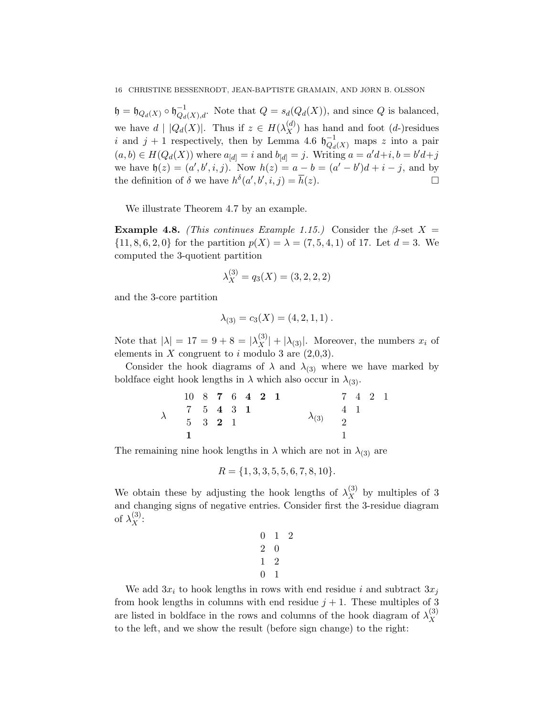$\mathfrak{h} = \mathfrak{h}_{Q_d(X)} \circ \mathfrak{h}_{Q_d(X),d}^{-1}$ . Note that  $Q = s_d(Q_d(X))$ , and since Q is balanced, we have  $d | |Q_d(X)|$ . Thus if  $z \in H(\lambda_X^{(d)})$  has hand and foot  $(d)$ -residues i and  $j + 1$  respectively, then by Lemma 4.6  $\mathfrak{h}_{Q_d(X)}^{-1}$  maps z into a pair  $(a, b) \in H(Q_d(X))$  where  $a_{[d]} = i$  and  $b_{[d]} = j$ . Writing  $a = a'd + i, b = b'd + j$ we have  $h(z) = (a', b', i, j)$ . Now  $h(z) = a - b = (a' - b')d + i - j$ , and by the definition of  $\delta$  we have  $h^{\delta}(a', b', i, j) = \overline{h}(z)$ .

We illustrate Theorem 4.7 by an example.

Example 4.8. (This continues Example 1.15.) Consider the  $\beta$ -set  $X =$  $\{11, 8, 6, 2, 0\}$  for the partition  $p(X) = \lambda = (7, 5, 4, 1)$  of 17. Let  $d = 3$ . We computed the 3-quotient partition

$$
\lambda_X^{(3)} = q_3(X) = (3, 2, 2, 2)
$$

and the 3-core partition

$$
\lambda_{(3)} = c_3(X) = (4, 2, 1, 1).
$$

Note that  $|\lambda| = 17 = 9 + 8 = |\lambda_X^{(3)}| + |\lambda_{(3)}|$ . Moreover, the numbers  $x_i$  of elements in  $X$  congruent to  $i$  modulo 3 are  $(2,0,3)$ .

Consider the hook diagrams of  $\lambda$  and  $\lambda_{(3)}$  where we have marked by boldface eight hook lengths in  $\lambda$  which also occur in  $\lambda_{(3)}$ .

| 10 8 7 6 4 2 1 |           |  |  |                                 |  | 7 4 2 1 |  |
|----------------|-----------|--|--|---------------------------------|--|---------|--|
|                | 7 5 4 3 1 |  |  | $\lambda_{(3)}$ $\frac{4}{2}$ 1 |  |         |  |
|                | 5 3 2 1   |  |  |                                 |  |         |  |
|                |           |  |  |                                 |  |         |  |

The remaining nine hook lengths in  $\lambda$  which are not in  $\lambda_{(3)}$  are

$$
R = \{1, 3, 3, 5, 5, 6, 7, 8, 10\}.
$$

We obtain these by adjusting the hook lengths of  $\lambda_X^{(3)}$  by multiples of 3 and changing signs of negative entries. Consider first the 3-residue diagram of  $\lambda_X^{(3)}$ :

$$
\begin{array}{ccc} 0 & 1 & 2 \\ 2 & 0 & \\ 1 & 2 & \\ 0 & 1 & \end{array}
$$

We add  $3x_i$  to hook lengths in rows with end residue i and subtract  $3x_i$ from hook lengths in columns with end residue  $j + 1$ . These multiples of 3 are listed in boldface in the rows and columns of the hook diagram of  $\lambda_X^{(3)}$  $\boldsymbol{X}$ to the left, and we show the result (before sign change) to the right: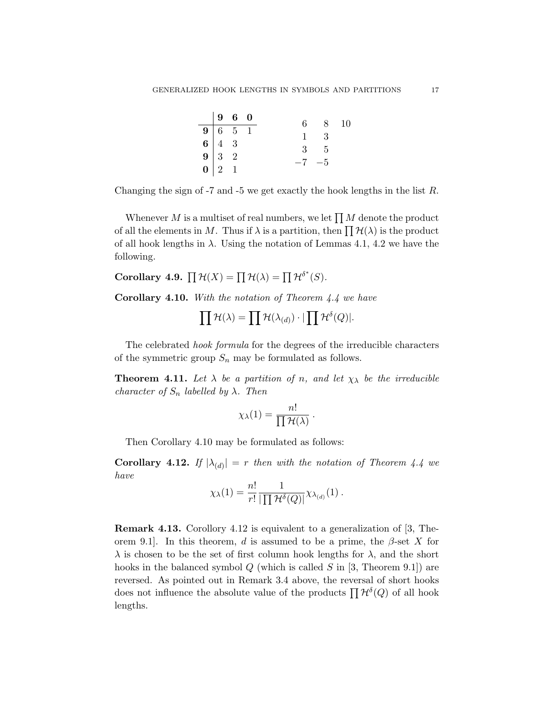|  | $\begin{array}{cccc} 9 & 6 & 0 \end{array}$                                                                   |          | 6 8 10      |  |
|--|---------------------------------------------------------------------------------------------------------------|----------|-------------|--|
|  |                                                                                                               |          |             |  |
|  |                                                                                                               |          | $1 \quad 3$ |  |
|  |                                                                                                               |          |             |  |
|  |                                                                                                               |          | $3\quad 5$  |  |
|  |                                                                                                               | $-7 - 5$ |             |  |
|  | $\begin{tabular}{c cc cc} 9 & 6 & 5 & 1 \\ 6 & 4 & 3 & \\ 9 & 3 & 2 & \\ \hline 0 & 2 & 1 & \\ \end{tabular}$ |          |             |  |

Changing the sign of -7 and -5 we get exactly the hook lengths in the list  $R$ .

Whenever M is a multiset of real numbers, we let  $\prod M$  denote the product of all the elements in M. Thus if  $\lambda$  is a partition, then  $\prod \mathcal{H}(\lambda)$  is the product of all hook lengths in  $\lambda$ . Using the notation of Lemmas 4.1, 4.2 we have the following.

Corollary 4.9.  $\prod \mathcal{H}(X) = \prod \mathcal{H}(\lambda) = \prod \mathcal{H}^{\delta^*}(S)$ .

**Corollary 4.10.** With the notation of Theorem  $4.4$  we have

$$
\prod \mathcal{H}(\lambda) = \prod \mathcal{H}(\lambda_{(d)}) \cdot |\prod \mathcal{H}^{\delta}(Q)|.
$$

The celebrated hook formula for the degrees of the irreducible characters of the symmetric group  $S_n$  may be formulated as follows.

**Theorem 4.11.** Let  $\lambda$  be a partition of n, and let  $\chi_{\lambda}$  be the irreducible character of  $S_n$  labelled by  $\lambda$ . Then

$$
\chi_{\lambda}(1) = \frac{n!}{\prod \mathcal{H}(\lambda)}.
$$

Then Corollary 4.10 may be formulated as follows:

**Corollary 4.12.** If  $|\lambda_{(d)}| = r$  then with the notation of Theorem 4.4 we have

$$
\chi_{\lambda}(1) = \frac{n!}{r!} \frac{1}{|\prod \mathcal{H}^{\delta}(Q)|} \chi_{\lambda_{(d)}}(1) .
$$

Remark 4.13. Corollory 4.12 is equivalent to a generalization of [3, Theorem 9.1. In this theorem, d is assumed to be a prime, the  $\beta$ -set X for  $\lambda$  is chosen to be the set of first column hook lengths for  $\lambda$ , and the short hooks in the balanced symbol  $Q$  (which is called  $S$  in [3, Theorem 9.1]) are reversed. As pointed out in Remark 3.4 above, the reversal of short hooks does not influence the absolute value of the products  $\prod \mathcal{H}^{\delta}(Q)$  of all hook lengths.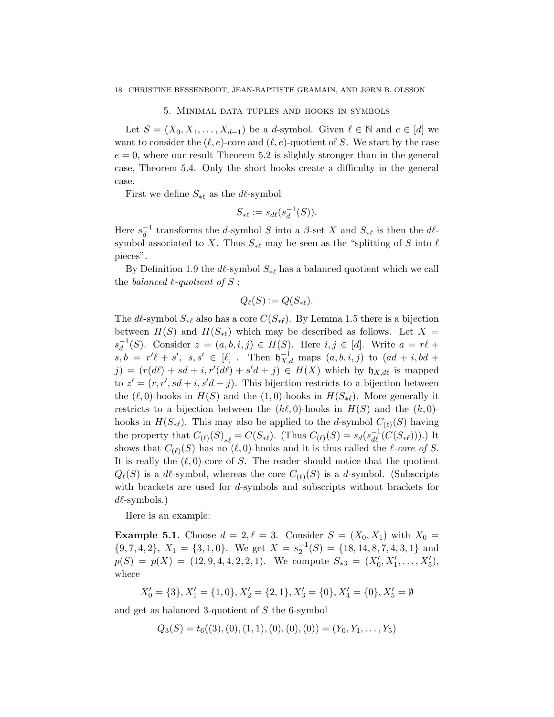#### 5. Minimal data tuples and hooks in symbols

Let  $S = (X_0, X_1, \ldots, X_{d-1})$  be a d-symbol. Given  $\ell \in \mathbb{N}$  and  $e \in [d]$  we want to consider the  $(\ell, e)$ -core and  $(\ell, e)$ -quotient of S. We start by the case  $e = 0$ , where our result Theorem 5.2 is slightly stronger than in the general case, Theorem 5.4. Only the short hooks create a difficulty in the general case.

First we define  $S_{\ast\ell}$  as the dl-symbol

$$
S_{*\ell} := s_{d\ell}(s_d^{-1}(S)).
$$

Here  $s_d^{-1}$  $\frac{d}{d}$  transforms the d-symbol S into a  $\beta$ -set X and  $S_{*\ell}$  is then the dlsymbol associated to X. Thus  $S_{\ast \ell}$  may be seen as the "splitting of S into  $\ell$ pieces".

By Definition 1.9 the  $d\ell$ -symbol  $S_{*\ell}$  has a balanced quotient which we call the balanced  $\ell$ -quotient of S:

$$
Q_{\ell}(S) := Q(S_{*\ell}).
$$

The dl-symbol  $S_{* \ell}$  also has a core  $C(S_{* \ell})$ . By Lemma 1.5 there is a bijection between  $H(S)$  and  $H(S_{*\ell})$  which may be described as follows. Let  $X =$  $s_d^{-1}$  $_d^{-1}(S)$ . Consider  $z = (a, b, i, j) \in H(S)$ . Here  $i, j \in [d]$ . Write  $a = r\ell +$  $s, b = r'\ell + s', \, s, s' \in [\ell]$ . Then  $\mathfrak{h}_{X,d}^{-1}$  maps  $(a, b, i, j)$  to  $(ad + i, bd + j')$  $j) = (r(d\ell) + sd + i, r'(d\ell) + s'd + j) \in H(X)$  which by  $\mathfrak{h}_{X,d\ell}$  is mapped to  $z' = (r, r', sd + i, s'd + j)$ . This bijection restricts to a bijection between the  $(\ell, 0)$ -hooks in  $H(S)$  and the  $(1, 0)$ -hooks in  $H(S_{*}\ell)$ . More generally it restricts to a bijection between the  $(k\ell, 0)$ -hooks in  $H(S)$  and the  $(k, 0)$ hooks in  $H(S_{*\ell})$ . This may also be applied to the d-symbol  $C_{(\ell)}(S)$  having the property that  $C_{(\ell)}(S)_{*\ell} = C(S_{*\ell})$ . (Thus  $C_{(\ell)}(S) = s_d(s_{d\ell}^{-1}(C(S_{*\ell})))$ .) It shows that  $C_{(\ell)}(S)$  has no  $(\ell, 0)$ -hooks and it is thus called the  $\ell$ -core of S. It is really the  $(\ell, 0)$ -core of S. The reader should notice that the quotient  $Q_{\ell}(S)$  is a dl-symbol, whereas the core  $C_{(\ell)}(S)$  is a d-symbol. (Subscripts with brackets are used for d-symbols and subscripts without brackets for  $d\ell$ -symbols.)

Here is an example:

**Example 5.1.** Choose  $d = 2, \ell = 3$ . Consider  $S = (X_0, X_1)$  with  $X_0 =$  ${9, 7, 4, 2}, X_1 = {3, 1, 0}.$  We get  $X = s_2^{-1}(S) = {18, 14, 8, 7, 4, 3, 1}$  and  $p(S) = p(X) = (12, 9, 4, 4, 2, 2, 1)$ . We compute  $S_{*3} = (X'_0, X'_1, \ldots, X'_5)$ , where

 $X'_0 = \{3\}, X'_1 = \{1, 0\}, X'_2 = \{2, 1\}, X'_3 = \{0\}, X'_4 = \{0\}, X'_5 = \emptyset$ 

and get as balanced 3-quotient of S the 6-symbol

 $Q_3(S) = t_6((3), (0), (1, 1), (0), (0), (0)) = (Y_0, Y_1, \ldots, Y_5)$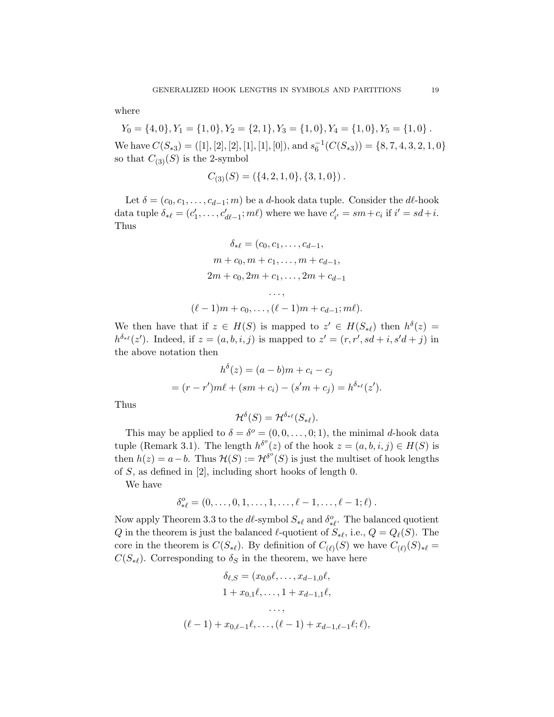where

 $Y_0 = \{4, 0\}, Y_1 = \{1, 0\}, Y_2 = \{2, 1\}, Y_3 = \{1, 0\}, Y_4 = \{1, 0\}, Y_5 = \{1, 0\}$ .

We have  $C(S_{*3}) = ([1], [2], [2], [1], [1], [0]),$  and  $s_6^{-1}(C(S_{*3})) = \{8, 7, 4, 3, 2, 1, 0\}$ so that  $C_{(3)}(S)$  is the 2-symbol

$$
C_{(3)}(S) = (\{4, 2, 1, 0\}, \{3, 1, 0\})\,.
$$

Let  $\delta = (c_0, c_1, \ldots, c_{d-1}; m)$  be a d-hook data tuple. Consider the d $\ell$ -hook data tuple  $\delta_{*\ell} = (c'_1, \ldots, c'_{d\ell-1}; m\ell)$  where we have  $c'_{i'} = sm + c_i$  if  $i' = sd + i$ . Thus

$$
\delta_{*\ell} = (c_0, c_1, \dots, c_{d-1},
$$
  
\n
$$
m + c_0, m + c_1, \dots, m + c_{d-1},
$$
  
\n
$$
2m + c_0, 2m + c_1, \dots, 2m + c_{d-1}
$$
  
\n...  
\n
$$
(\ell - 1)m + c_0, \dots, (\ell - 1)m + c_{d-1}; m\ell).
$$

We then have that if  $z \in H(S)$  is mapped to  $z' \in H(S_{*\ell})$  then  $h^{\delta}(z) =$  $h^{\delta_{*\ell}}(z')$ . Indeed, if  $z = (a, b, i, j)$  is mapped to  $z' = (r, r', sd + i, s'd + j)$  in the above notation then

$$
h^{\delta}(z) = (a - b)m + c_i - c_j
$$
  
=  $(r - r')m\ell + (sm + c_i) - (s'm + c_j) = h^{\delta_{*\ell}}(z').$ 

Thus

$$
\mathcal{H}^{\delta}(S) = \mathcal{H}^{\delta_{*\ell}}(S_{*\ell}).
$$

This may be applied to  $\delta = \delta^o = (0, 0, \ldots, 0; 1)$ , the minimal d-hook data tuple (Remark 3.1). The length  $h^{\delta^o}(z)$  of the hook  $z = (a, b, i, j) \in H(S)$  is then  $h(z) = a - b$ . Thus  $\mathcal{H}(S) := \mathcal{H}^{\delta^o}(S)$  is just the multiset of hook lengths of S, as defined in [2], including short hooks of length 0.

We have

$$
\delta_{*\ell}^o=(0,\ldots,0,1,\ldots,1,\ldots,\ell-1,\ldots,\ell-1;\ell)\ .
$$

Now apply Theorem 3.3 to the  $d\ell$ -symbol  $S_{*\ell}$  and  $\delta_{*\ell}^o$ . The balanced quotient Q in the theorem is just the balanced  $\ell$ -quotient of  $S_{*\ell}$ , i.e.,  $Q = Q_{\ell}(S)$ . The core in the theorem is  $C(S_{*\ell})$ . By definition of  $C_{(\ell)}(S)$  we have  $C_{(\ell)}(S)_{*\ell} =$  $C(S_{*\ell})$ . Corresponding to  $\delta_S$  in the theorem, we have here

$$
\delta_{\ell,S} = (x_{0,0}\ell, \dots, x_{d-1,0}\ell, \n1 + x_{0,1}\ell, \dots, 1 + x_{d-1,1}\ell, \n\vdots, \n(\ell-1) + x_{0,\ell-1}\ell, \dots, (\ell-1) + x_{d-1,\ell-1}\ell; \ell),
$$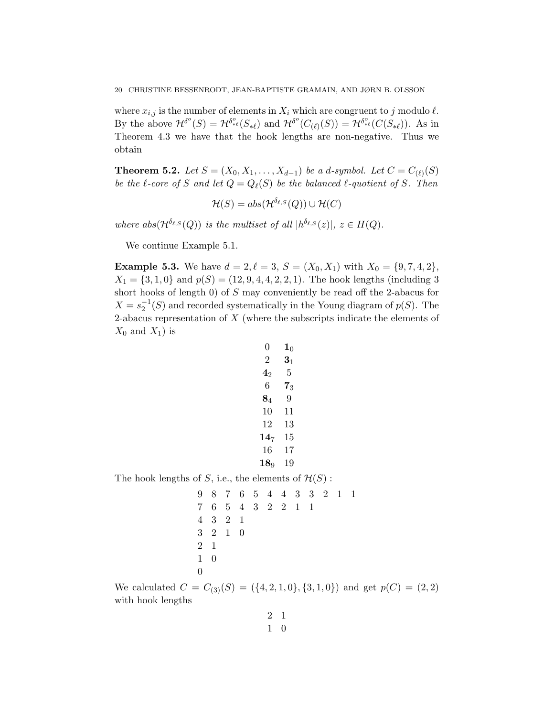where  $x_{i,j}$  is the number of elements in  $X_i$  which are congruent to j modulo  $\ell$ . By the above  $\mathcal{H}^{\delta^o}(S) = \mathcal{H}^{\delta^o_{*\ell}}(S_{*\ell})$  and  $\mathcal{H}^{\delta^o}(C_{(\ell)}(S)) = \mathcal{H}^{\delta^o_{*\ell}}(C(S_{*\ell}))$ . As in Theorem 4.3 we have that the hook lengths are non-negative. Thus we obtain

**Theorem 5.2.** Let  $S = (X_0, X_1, \ldots, X_{d-1})$  be a d-symbol. Let  $C = C_{(\ell)}(S)$ be the  $\ell$ -core of S and let  $Q = Q_{\ell}(S)$  be the balanced  $\ell$ -quotient of S. Then

$$
\mathcal{H}(S) = abs(\mathcal{H}^{\delta_{\ell,S}}(Q)) \cup \mathcal{H}(C)
$$

where abs $(\mathcal{H}^{\delta_{\ell,S}}(Q))$  is the multiset of all  $|h^{\delta_{\ell,S}}(z)|, z \in H(Q)$ .

We continue Example 5.1.

**Example 5.3.** We have  $d = 2, \ell = 3, S = (X_0, X_1)$  with  $X_0 = \{9, 7, 4, 2\},\$  $X_1 = \{3, 1, 0\}$  and  $p(S) = (12, 9, 4, 4, 2, 2, 1)$ . The hook lengths (including 3) short hooks of length 0) of  $S$  may conveniently be read off the 2-abacus for  $X = s_2^{-1}(S)$  and recorded systematically in the Young diagram of  $p(S)$ . The 2-abacus representation of  $X$  (where the subscripts indicate the elements of  $X_0$  and  $X_1$ ) is

$$
\begin{array}{ccc} 0 & 1_0 \\ 2 & 3_1 \\ 4_2 & 5 \\ 6 & 7_3 \\ 8_4 & 9 \\ 10 & 11 \\ 12 & 13 \\ 14_7 & 15 \\ 16 & 17 \\ 18_9 & 19 \end{array}
$$

The hook lengths of S, i.e., the elements of  $\mathcal{H}(S)$ :

$$
\begin{array}{cccccccc}\n9 & 8 & 7 & 6 & 5 & 4 & 4 & 3 & 3 & 2 & 1 & 1 \\
7 & 6 & 5 & 4 & 3 & 2 & 2 & 1 & 1 \\
4 & 3 & 2 & 1 & & & & & \\
3 & 2 & 1 & 0 & & & & & \\
2 & 1 & & & & & & & \\
1 & 0 & & & & & & & \\
0 & & & & & & & & & \\
0 & & & & & & & & & \\
\end{array}
$$

We calculated  $C = C_{(3)}(S) = (\{4, 2, 1, 0\}, \{3, 1, 0\})$  and get  $p(C) = (2, 2)$ with hook lengths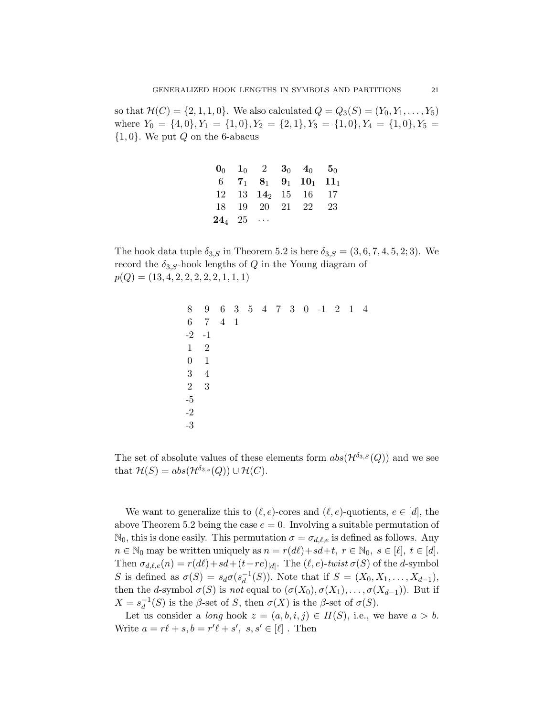so that  $\mathcal{H}(C) = \{2, 1, 1, 0\}$ . We also calculated  $Q = Q_3(S) = (Y_0, Y_1, \ldots, Y_5)$ where  $Y_0 = \{4, 0\}, Y_1 = \{1, 0\}, Y_2 = \{2, 1\}, Y_3 = \{1, 0\}, Y_4 = \{1, 0\}, Y_5 =$  $\{1,0\}$ . We put Q on the 6-abacus

|             |  | $\mathbf{0}_0$ $\mathbf{1}_0$ 2 $\mathbf{3}_0$ $\mathbf{4}_0$ $\mathbf{5}_0$ |  |
|-------------|--|------------------------------------------------------------------------------|--|
|             |  | 6 $7_1$ $8_1$ $9_1$ $10_1$ $11_1$                                            |  |
|             |  | $12 \quad 13 \quad 14_2 \quad 15 \quad 16 \quad 17$                          |  |
|             |  | 18 19 20 21 22 23                                                            |  |
| $24_4$ $25$ |  |                                                                              |  |

The hook data tuple  $\delta_{3,S}$  in Theorem 5.2 is here  $\delta_{3,S} = (3,6,7,4,5,2;3)$ . We record the  $\delta_{3,S}$ -hook lengths of Q in the Young diagram of  $p(Q) = (13, 4, 2, 2, 2, 2, 2, 1, 1, 1)$ 

| 8               | 9              |                   |  |  |  | 6 3 5 4 7 3 0 -1 2 1 4 |  |  |
|-----------------|----------------|-------------------|--|--|--|------------------------|--|--|
| $6\phantom{.}6$ |                | $7\quad 4\quad 1$ |  |  |  |                        |  |  |
| $-2$ $-1$       |                |                   |  |  |  |                        |  |  |
| $\mathbf{1}$    | $\overline{2}$ |                   |  |  |  |                        |  |  |
| $\theta$        | 1              |                   |  |  |  |                        |  |  |
| 3               | $\overline{4}$ |                   |  |  |  |                        |  |  |
| $\overline{2}$  | 3              |                   |  |  |  |                        |  |  |
| $-5$            |                |                   |  |  |  |                        |  |  |
| $-2$            |                |                   |  |  |  |                        |  |  |
| $-3$            |                |                   |  |  |  |                        |  |  |

The set of absolute values of these elements form  $abs(\mathcal{H}^{\delta_{3,S}}(Q))$  and we see that  $\mathcal{H}(S) = abs(\mathcal{H}^{\delta_{3,s}}(Q)) \cup \mathcal{H}(C)$ .

We want to generalize this to  $(\ell, e)$ -cores and  $(\ell, e)$ -quotients,  $e \in [d]$ , the above Theorem 5.2 being the case  $e = 0$ . Involving a suitable permutation of  $\mathbb{N}_0$ , this is done easily. This permutation  $\sigma = \sigma_{d,\ell,e}$  is defined as follows. Any  $n \in \mathbb{N}_0$  may be written uniquely as  $n = r(d\ell) + sd+t, r \in \mathbb{N}_0, s \in [\ell], t \in [d].$ Then  $\sigma_{d,\ell,e}(n) = r(d\ell) + sd + (t+re)_{[d]}$ . The  $(\ell, e)$ -twist  $\sigma(S)$  of the d-symbol S is defined as  $\sigma(S) = s_d \sigma(s_d^{-1})$  $_d^{-1}(S)$ ). Note that if  $S = (X_0, X_1, \ldots, X_{d-1}),$ then the d-symbol  $\sigma(S)$  is not equal to  $(\sigma(X_0), \sigma(X_1), \ldots, \sigma(X_{d-1}))$ . But if  $X = s_d^{-1}$  $_d^{-1}(S)$  is the  $\beta$ -set of S, then  $\sigma(X)$  is the  $\beta$ -set of  $\sigma(S)$ .

Let us consider a long hook  $z = (a, b, i, j) \in H(S)$ , i.e., we have  $a > b$ . Write  $a = r\ell + s, b = r'\ell + s', s, s' \in [\ell]$ . Then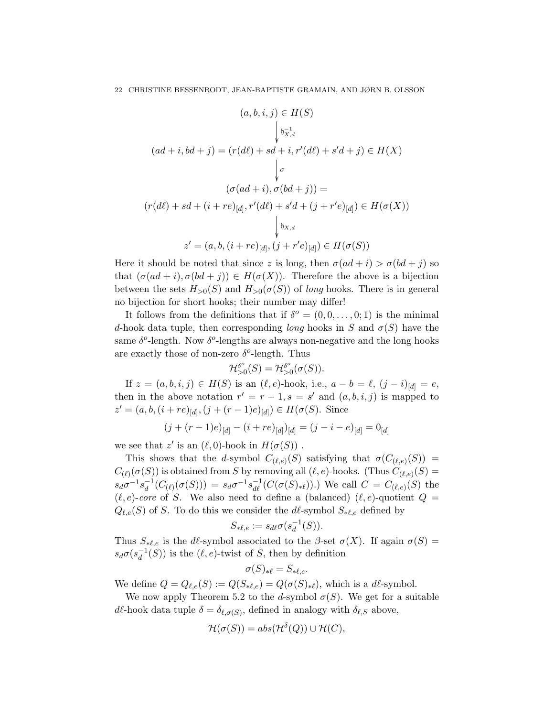$$
(a, b, i, j) \in H(S)
$$
  
\n
$$
\downarrow b_{X,d}^{-1}
$$
  
\n
$$
(ad + i, bd + j) = (r(d\ell) + sd + i, r'(d\ell) + s'd + j) \in H(X)
$$
  
\n
$$
\downarrow \sigma
$$
  
\n
$$
(r(d\ell) + sd + (i + re)_{[d]}, r'(d\ell) + s'd + (j + r'e)_{[d]}) \in H(\sigma(X))
$$
  
\n
$$
\downarrow b_{X,d}
$$
  
\n
$$
z' = (a, b, (i + re)_{[d]}, (j + r'e)_{[d]}) \in H(\sigma(S))
$$

Here it should be noted that since z is long, then  $\sigma(ad + i) > \sigma(bd + j)$  so that  $(\sigma(ad + i), \sigma(bd + j)) \in H(\sigma(X))$ . Therefore the above is a bijection between the sets  $H_{>0}(S)$  and  $H_{>0}(\sigma(S))$  of long hooks. There is in general no bijection for short hooks; their number may differ!

It follows from the definitions that if  $\delta^o = (0, 0, \ldots, 0; 1)$  is the minimal d-hook data tuple, then corresponding long hooks in S and  $\sigma(S)$  have the same  $\delta^o$ -length. Now  $\delta^o$ -lengths are always non-negative and the long hooks are exactly those of non-zero  $\delta^o$ -length. Thus

$$
\mathcal{H}_{>0}^{\delta^o}(S) = \mathcal{H}_{>0}^{\delta^o}(\sigma(S)).
$$

If  $z = (a, b, i, j) \in H(S)$  is an  $(\ell, e)$ -hook, i.e.,  $a - b = \ell$ ,  $(j - i)_{[d]} = e$ , then in the above notation  $r' = r - 1$ ,  $s = s'$  and  $(a, b, i, j)$  is mapped to  $z' = (a, b, (i + re)_{[d]}, (j + (r - 1)e)_{[d]}) \in H(\sigma(S)).$  Since

$$
(j + (r - 1)e)_{[d]} - (i + re)_{[d]})_{[d]} = (j - i - e)_{[d]} = 0_{[d]}
$$

we see that  $z'$  is an  $(\ell, 0)$ -hook in  $H(\sigma(S))$ .

This shows that the d-symbol  $C_{(\ell,e)}(S)$  satisfying that  $\sigma(C_{(\ell,e)}(S)) =$  $C_{(\ell)}(\sigma(S))$  is obtained from S by removing all  $(\ell, e)$ -hooks. (Thus  $C_{(\ell, e)}(S)$  =  $s_d\sigma^{-1}s_d^{-1}$  $d^{-1}(C_{(\ell)}(\sigma(S))) = s_d\sigma^{-1}s_{d\ell}^{-1}(C(\sigma(S)_{*\ell}))$ .) We call  $C = C_{(\ell,\epsilon)}(S)$  the  $(\ell, e)$ -core of S. We also need to define a (balanced)  $(\ell, e)$ -quotient  $Q =$  $Q_{\ell,e}(S)$  of S. To do this we consider the d $\ell$ -symbol  $S_{*,\ell,e}$  defined by

$$
S_{*\ell,e}:=s_{d\ell}\sigma(s_d^{-1}(S)).
$$

Thus  $S_{\ast \ell,e}$  is the *d* $\ell$ -symbol associated to the  $\beta$ -set  $\sigma(X)$ . If again  $\sigma(S)$  =  $s_d\sigma(s_d^{-1})$  $_d^{-1}(S)$ ) is the  $(\ell, e)$ -twist of S, then by definition

$$
\sigma(S)_{*\ell} = S_{*\ell,e}.
$$

We define  $Q = Q_{\ell,e}(S) := Q(S_{*\ell,e}) = Q(\sigma(S)_{*\ell}),$  which is a d $\ell$ -symbol.

We now apply Theorem 5.2 to the d-symbol  $\sigma(S)$ . We get for a suitable dl-hook data tuple  $\delta = \delta_{\ell,\sigma(S)}$ , defined in analogy with  $\delta_{\ell,S}$  above,

$$
\mathcal{H}(\sigma(S)) = abs(\mathcal{H}^{\delta}(Q)) \cup \mathcal{H}(C),
$$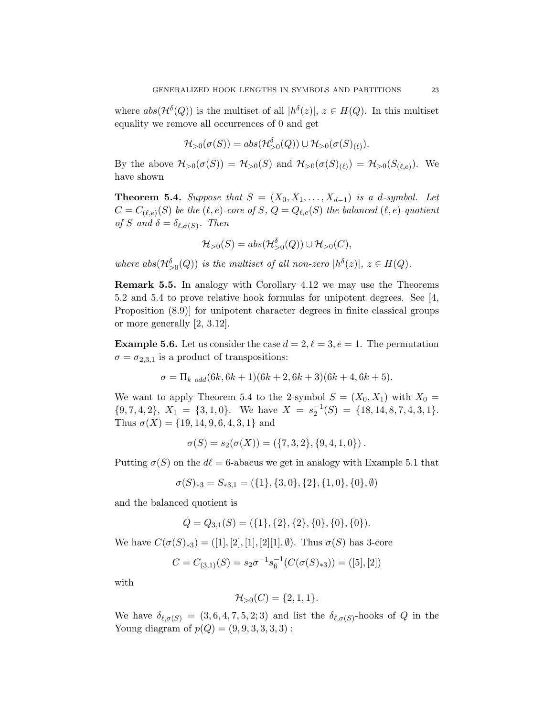where  $abs(\mathcal{H}^{\delta}(Q))$  is the multiset of all  $|h^{\delta}(z)|, z \in H(Q)$ . In this multiset equality we remove all occurrences of 0 and get

$$
\mathcal{H}_{>0}(\sigma(S)) = abs(\mathcal{H}_{>0}^{\delta}(Q)) \cup \mathcal{H}_{>0}(\sigma(S)_{(\ell)}).
$$

By the above  $\mathcal{H}_{>0}(\sigma(S)) = \mathcal{H}_{>0}(S)$  and  $\mathcal{H}_{>0}(\sigma(S)_{(\ell)}) = \mathcal{H}_{>0}(S_{(\ell,e)})$ . We have shown

**Theorem 5.4.** Suppose that  $S = (X_0, X_1, \ldots, X_{d-1})$  is a d-symbol. Let  $C=C_{(\ell,e)}(S)$  be the  $(\ell,e)\text{-}core$  of  $S,$   $Q=Q_{\ell,e}(S)$  the balanced  $(\ell,e)\text{-}quotient$ of S and  $\delta = \delta_{\ell,\sigma(S)}$ . Then

$$
\mathcal{H}_{>0}(S) = abs(\mathcal{H}_{>0}^{\delta}(Q)) \cup \mathcal{H}_{>0}(C),
$$

where  $abs(\mathcal{H}_{>0}^{\delta}(Q))$  is the multiset of all non-zero  $|h^{\delta}(z)|$ ,  $z \in H(Q)$ .

Remark 5.5. In analogy with Corollary 4.12 we may use the Theorems 5.2 and 5.4 to prove relative hook formulas for unipotent degrees. See [4, Proposition (8.9)] for unipotent character degrees in finite classical groups or more generally [2, 3.12].

**Example 5.6.** Let us consider the case  $d = 2, \ell = 3, e = 1$ . The permutation  $\sigma = \sigma_{2,3,1}$  is a product of transpositions:

$$
\sigma = \Pi_{k \text{ odd}}(6k, 6k+1)(6k+2, 6k+3)(6k+4, 6k+5).
$$

We want to apply Theorem 5.4 to the 2-symbol  $S = (X_0, X_1)$  with  $X_0 =$  ${9, 7, 4, 2}, X_1 = {3, 1, 0}.$  We have  $X = s_2^{-1}(S) = {18, 14, 8, 7, 4, 3, 1}.$ Thus  $\sigma(X) = \{19, 14, 9, 6, 4, 3, 1\}$  and

$$
\sigma(S) = s_2(\sigma(X)) = (\{7, 3, 2\}, \{9, 4, 1, 0\}).
$$

Putting  $\sigma(S)$  on the  $d\ell = 6$ -abacus we get in analogy with Example 5.1 that

$$
\sigma(S)_{*3} = S_{*3,1} = (\{1\}, \{3, 0\}, \{2\}, \{1, 0\}, \{0\}, \emptyset)
$$

and the balanced quotient is

$$
Q = Q_{3,1}(S) = (\{1\}, \{2\}, \{2\}, \{0\}, \{0\}, \{0\}).
$$

We have  $C(\sigma(S)_{*3}) = ([1], [2], [1], [2][1], \emptyset)$ . Thus  $\sigma(S)$  has 3-core

$$
C = C_{(3,1)}(S) = s_2 \sigma^{-1} s_6^{-1} (C(\sigma(S)_{*3})) = ([5], [2])
$$

with

$$
\mathcal{H}_{>0}(C) = \{2, 1, 1\}.
$$

We have  $\delta_{\ell,\sigma(S)} = (3,6,4,7,5,2;3)$  and list the  $\delta_{\ell,\sigma(S)}$ -hooks of Q in the Young diagram of  $p(Q) = (9, 9, 3, 3, 3, 3)$ :